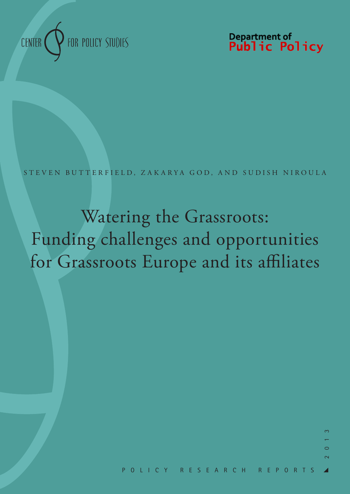

Department of<br>**Public Policy** 

STEVEN BUTTERFIELD, ZAKARYA GOD, AND SUDISH NIROULA

Watering the Grassroots: Funding challenges and opportunities for Grassroots Europe and its affiliates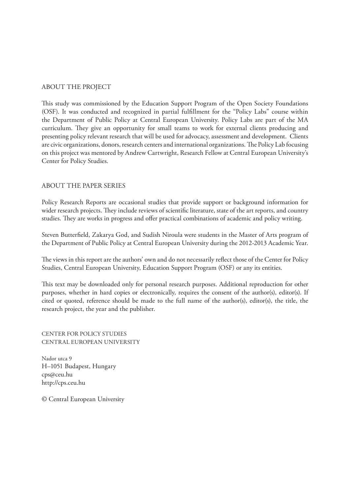#### ABOUT THE PROJECT

This study was commissioned by the Education Support Program of the Open Society Foundations (OSF). It was conducted and recognized in partial fulfillment for the "Policy Labs" course within the Department of Public Policy at Central European University. Policy Labs are part of the MA curriculum. They give an opportunity for small teams to work for external clients producing and presenting policy relevant research that will be used for advocacy, assessment and development. Clients are civic organizations, donors, research centers and international organizations. The Policy Lab focusing on this project was mentored by Andrew Cartwright, Research Fellow at Central European University's Center for Policy Studies.

#### ABOUT THE PAPER SERIES

Policy Research Reports are occasional studies that provide support or background information for wider research projects. They include reviews of scientific literature, state of the art reports, and country studies. They are works in progress and offer practical combinations of academic and policy writing.

Steven Butterfield, Zakarya God, and Sudish Niroula were students in the Master of Arts program of the Department of Public Policy at Central European University during the 2012-2013 Academic Year.

The views in this report are the authors' own and do not necessarily reflect those of the Center for Policy Studies, Central European University, Education Support Program (OSF) or any its entities.

This text may be downloaded only for personal research purposes. Additional reproduction for other purposes, whether in hard copies or electronically, requires the consent of the author(s), editor(s). If cited or quoted, reference should be made to the full name of the author(s), editor(s), the title, the research project, the year and the publisher.

CENTER FOR POLICY STUDIES CENTRAL EUROPEAN UNIVERSITY

Nador utca 9 H–1051 Budapest, Hungary cps@ceu.hu http://cps.ceu.hu

© Central European University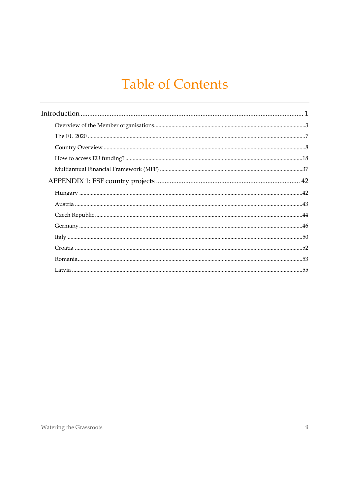## **Table of Contents**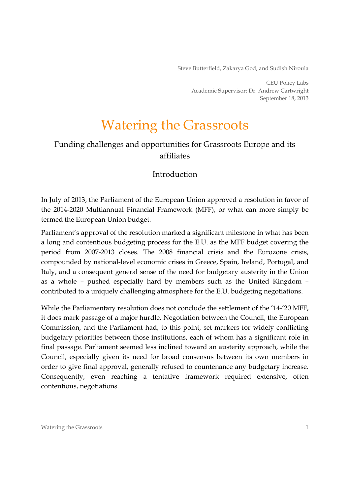Steve Butterfield, Zakarya God, and Sudish Niroula

CEU Policy Labs Academic Supervisor: Dr. Andrew Cartwright September 18, 2013

## Watering the Grassroots

## Funding challenges and opportunities for Grassroots Europe and its affiliates

#### Introduction

In July of 2013, the Parliament of the European Union approved a resolution in favor of the 2014-2020 Multiannual Financial Framework (MFF), or what can more simply be termed the European Union budget.

Parliament's approval of the resolution marked a significant milestone in what has been a long and contentious budgeting process for the E.U. as the MFF budget covering the period from 2007-2013 closes. The 2008 financial crisis and the Eurozone crisis, compounded by national-level economic crises in Greece, Spain, Ireland, Portugal, and Italy, and a consequent general sense of the need for budgetary austerity in the Union as a whole – pushed especially hard by members such as the United Kingdom – contributed to a uniquely challenging atmosphere for the E.U. budgeting negotiations.

While the Parliamentary resolution does not conclude the settlement of the '14-'20 MFF, it does mark passage of a major hurdle. Negotiation between the Council, the European Commission, and the Parliament had, to this point, set markers for widely conflicting budgetary priorities between those institutions, each of whom has a significant role in final passage. Parliament seemed less inclined toward an austerity approach, while the Council, especially given its need for broad consensus between its own members in order to give final approval, generally refused to countenance any budgetary increase. Consequently, even reaching a tentative framework required extensive, often contentious, negotiations.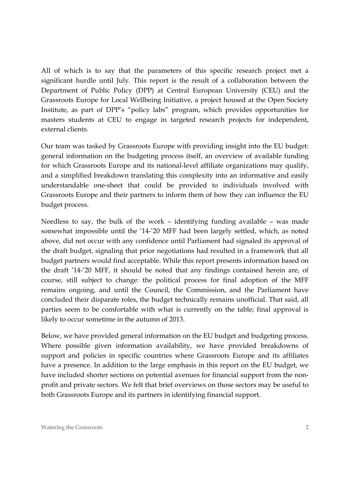All of which is to say that the parameters of this specific research project met a significant hurdle until July. This report is the result of a collaboration between the Department of Public Policy (DPP) at Central European University (CEU) and the Grassroots Europe for Local Wellbeing Initiative, a project housed at the Open Society Institute, as part of DPP's "policy labs" program, which provides opportunities for masters students at CEU to engage in targeted research projects for independent, external clients.

Our team was tasked by Grassroots Europe with providing insight into the EU budget: general information on the budgeting process itself, an overview of available funding for which Grassroots Europe and its national-level affiliate organizations may qualify, and a simplified breakdown translating this complexity into an informative and easily understandable one-sheet that could be provided to individuals involved with Grassroots Europe and their partners to inform them of how they can influence the EU budget process.

Needless to say, the bulk of the work – identifying funding available – was made somewhat impossible until the '14-'20 MFF had been largely settled, which, as noted above, did not occur with any confidence until Parliament had signaled its approval of the draft budget, signaling that prior negotiations had resulted in a framework that all budget partners would find acceptable. While this report presents information based on the draft '14-'20 MFF, it should be noted that any findings contained herein are, of course, still subject to change: the political process for final adoption of the MFF remains ongoing, and until the Council, the Commission, and the Parliament have concluded their disparate roles, the budget technically remains unofficial. That said, all parties seem to be comfortable with what is currently on the table; final approval is likely to occur sometime in the autumn of 2013.

Below, we have provided general information on the EU budget and budgeting process. Where possible given information availability, we have provided breakdowns of support and policies in specific countries where Grassroots Europe and its affiliates have a presence. In addition to the large emphasis in this report on the EU budget, we have included shorter sections on potential avenues for financial support from the nonprofit and private sectors. We felt that brief overviews on those sectors may be useful to both Grassroots Europe and its partners in identifying financial support.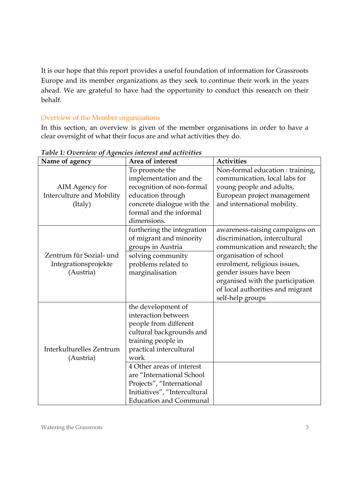It is our hope that this report provides a useful foundation of information for Grassroots Europe and its member organizations as they seek to continue their work in the years ahead. We are grateful to have had the opportunity to conduct this research on their behalf.

## Overview of the Member organisations

In this section, an overview is given of the member organisations in order to have a clear oversight of what their focus are and what activities they do.

| Name of agency            | Area of interest              | <b>Activities</b>                |
|---------------------------|-------------------------------|----------------------------------|
|                           | To promote the                | Non-formal education : training, |
|                           | implementation and the        | communication, local labs for    |
| AIM Agency for            | recognition of non-formal     | young people and adults,         |
| Interculture and Mobility | education through             | European project management      |
| (Italy)                   | concrete dialogue with the    | and international mobility.      |
|                           | formal and the informal       |                                  |
|                           | dimensions.                   |                                  |
|                           | furthering the integration    | awareness-raising campaigns on   |
|                           | of migrant and minority       | discrimination, intercultural    |
|                           | groups in Austria             | communication and research; the  |
| Zentrum für Sozial- und   | solving community             | organisation of school           |
| Integrationsprojekte      | problems related to           | enrolment, religious issues,     |
| (Austria)                 | marginalisation               | gender issues have been          |
|                           |                               | organised with the participation |
|                           |                               | of local authorities and migrant |
|                           | the development of            | self-help groups                 |
|                           | interaction between           |                                  |
|                           | people from different         |                                  |
|                           | cultural backgrounds and      |                                  |
|                           | training people in            |                                  |
| Interkulturelles Zentrum  | practical intercultural       |                                  |
| (Austria)                 | work                          |                                  |
|                           | 4 Other areas of interest     |                                  |
|                           | are "International School     |                                  |
|                           | Projects", "International     |                                  |
|                           | Initiatives", "Intercultural  |                                  |
|                           | <b>Education and Communal</b> |                                  |

*Table 1: Overview of Agencies interest and activities*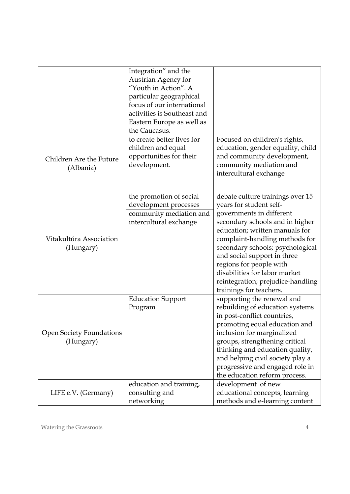|                                              | Integration" and the<br>Austrian Agency for<br>"Youth in Action". A<br>particular geographical<br>focus of our international<br>activities is Southeast and<br>Eastern Europe as well as<br>the Caucasus. |                                                                                                                                                                                                                                                                                                                                                                                               |
|----------------------------------------------|-----------------------------------------------------------------------------------------------------------------------------------------------------------------------------------------------------------|-----------------------------------------------------------------------------------------------------------------------------------------------------------------------------------------------------------------------------------------------------------------------------------------------------------------------------------------------------------------------------------------------|
| Children Are the Future<br>(Albania)         | to create better lives for<br>children and equal<br>opportunities for their<br>development.                                                                                                               | Focused on children's rights,<br>education, gender equality, child<br>and community development,<br>community mediation and<br>intercultural exchange                                                                                                                                                                                                                                         |
| Vitakultúra Association<br>(Hungary)         | the promotion of social<br>development processes<br>community mediation and<br>intercultural exchange                                                                                                     | debate culture trainings over 15<br>years for student self-<br>governments in different<br>secondary schools and in higher<br>education; written manuals for<br>complaint-handling methods for<br>secondary schools; psychological<br>and social support in three<br>regions for people with<br>disabilities for labor market<br>reintegration; prejudice-handling<br>trainings for teachers. |
| <b>Open Society Foundations</b><br>(Hungary) | <b>Education Support</b><br>Program                                                                                                                                                                       | supporting the renewal and<br>rebuilding of education systems<br>in post-conflict countries,<br>promoting equal education and<br>inclusion for marginalized<br>groups, strengthening critical<br>thinking and education quality,<br>and helping civil society play a<br>progressive and engaged role in<br>the education reform process.                                                      |
| LIFE e.V. (Germany)                          | education and training,<br>consulting and<br>networking                                                                                                                                                   | development of new<br>educational concepts, learning<br>methods and e-learning content                                                                                                                                                                                                                                                                                                        |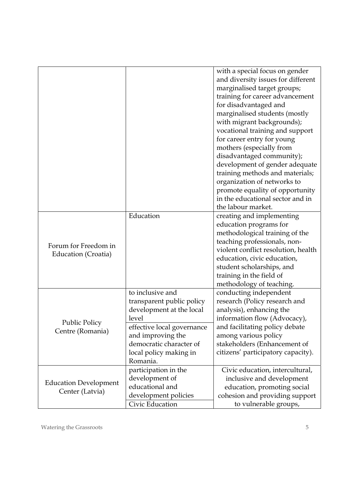| with a special focus on gender<br>and diversity issues for different<br>marginalised target groups;<br>training for career advancement<br>for disadvantaged and |  |
|-----------------------------------------------------------------------------------------------------------------------------------------------------------------|--|
|                                                                                                                                                                 |  |
|                                                                                                                                                                 |  |
|                                                                                                                                                                 |  |
|                                                                                                                                                                 |  |
|                                                                                                                                                                 |  |
| marginalised students (mostly                                                                                                                                   |  |
| with migrant backgrounds);                                                                                                                                      |  |
| vocational training and support                                                                                                                                 |  |
| for career entry for young                                                                                                                                      |  |
| mothers (especially from                                                                                                                                        |  |
| disadvantaged community);                                                                                                                                       |  |
|                                                                                                                                                                 |  |
| development of gender adequate                                                                                                                                  |  |
| training methods and materials;                                                                                                                                 |  |
| organization of networks to                                                                                                                                     |  |
| promote equality of opportunity                                                                                                                                 |  |
| in the educational sector and in                                                                                                                                |  |
| the labour market.                                                                                                                                              |  |
| Education<br>creating and implementing                                                                                                                          |  |
| education programs for                                                                                                                                          |  |
| methodological training of the                                                                                                                                  |  |
| teaching professionals, non-<br>Forum for Freedom in                                                                                                            |  |
| violent conflict resolution, health<br>Education (Croatia)                                                                                                      |  |
| education, civic education,                                                                                                                                     |  |
| student scholarships, and                                                                                                                                       |  |
| training in the field of                                                                                                                                        |  |
| methodology of teaching.                                                                                                                                        |  |
| to inclusive and<br>conducting independent                                                                                                                      |  |
| research (Policy research and<br>transparent public policy                                                                                                      |  |
| analysis), enhancing the<br>development at the local                                                                                                            |  |
| level<br>information flow (Advocacy),<br><b>Public Policy</b>                                                                                                   |  |
| and facilitating policy debate<br>effective local governance<br>Centre (Romania)                                                                                |  |
| and improving the<br>among various policy                                                                                                                       |  |
| democratic character of<br>stakeholders (Enhancement of                                                                                                         |  |
| citizens' participatory capacity).<br>local policy making in                                                                                                    |  |
| Romania.                                                                                                                                                        |  |
| participation in the<br>Civic education, intercultural,                                                                                                         |  |
| development of<br>inclusive and development                                                                                                                     |  |
| <b>Education Development</b><br>educational and<br>education, promoting social                                                                                  |  |
|                                                                                                                                                                 |  |
| Center (Latvia)<br>development policies<br>cohesion and providing support                                                                                       |  |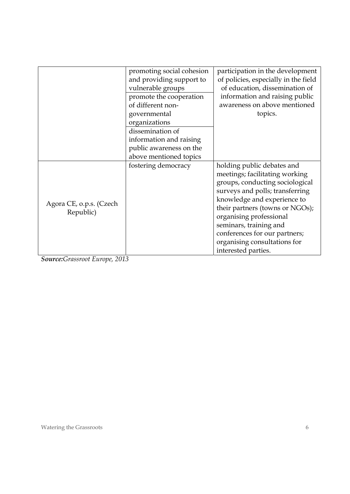|                                      | promoting social cohesion<br>and providing support to<br>vulnerable groups<br>promote the cooperation<br>of different non-<br>governmental<br>organizations<br>dissemination of<br>information and raising<br>public awareness on the<br>above mentioned topics | participation in the development<br>of policies, especially in the field<br>of education, dissemination of<br>information and raising public<br>awareness on above mentioned<br>topics.                                                                                                                                                           |
|--------------------------------------|-----------------------------------------------------------------------------------------------------------------------------------------------------------------------------------------------------------------------------------------------------------------|---------------------------------------------------------------------------------------------------------------------------------------------------------------------------------------------------------------------------------------------------------------------------------------------------------------------------------------------------|
| Agora CE, o.p.s. (Czech<br>Republic) | fostering democracy                                                                                                                                                                                                                                             | holding public debates and<br>meetings; facilitating working<br>groups, conducting sociological<br>surveys and polls; transferring<br>knowledge and experience to<br>their partners (towns or NGOs);<br>organising professional<br>seminars, training and<br>conferences for our partners;<br>organising consultations for<br>interested parties. |

*Source:Grassroot Europe, 2013*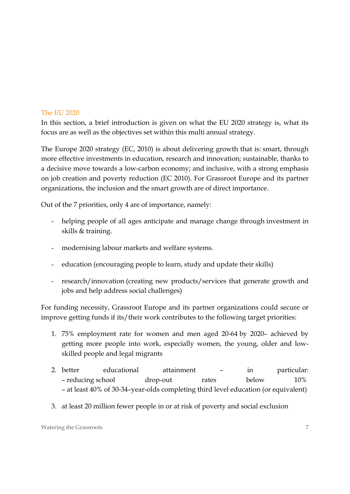#### The EU 2020

In this section, a brief introduction is given on what the EU 2020 strategy is, what its focus are as well as the objectives set within this multi annual strategy.

The Europe 2020 strategy (EC, 2010) is about delivering growth that is: smart, through more effective investments in education, research and innovation; sustainable, thanks to a decisive move towards a low-carbon economy; and inclusive, with a strong emphasis on job creation and poverty reduction (EC 2010). For Grassroot Europe and its partner organizations, the inclusion and the smart growth are of direct importance.

Out of the 7 priorities, only 4 are of importance, namely:

- helping people of all ages anticipate and manage change through investment in skills & training.
- modernising labour markets and welfare systems.
- education (encouraging people to learn, study and update their skills)
- research/innovation (creating new products/services that generate growth and jobs and help address social challenges)

For funding necessity, Grassroot Europe and its partner organizations could secure or improve getting funds if its/their work contributes to the following target priorities:

- 1. 75% employment rate for women and men aged 20-64 by 2020– achieved by getting more people into work, especially women, the young, older and lowskilled people and legal migrants
- 2. better educational attainment in particular: – reducing school drop-out rates below 10% – at least 40% of 30-34–year-olds completing third level education (or equivalent)
- 3. at least 20 million fewer people in or at risk of poverty and social exclusion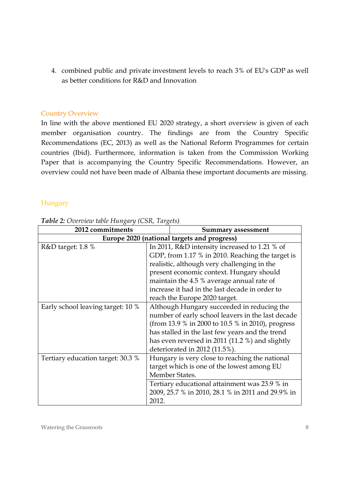4. combined public and private investment levels to reach 3% of EU's GDP as well as better conditions for R&D and Innovation

#### Country Overview

In line with the above mentioned EU 2020 strategy, a short overview is given of each member organisation country. The findings are from the Country Specific Recommendations (EC, 2013) as well as the National Reform Programmes for certain countries (Ibid). Furthermore, information is taken from the Commission Working Paper that is accompanying the Country Specific Recommendations. However, an overview could not have been made of Albania these important documents are missing.

#### **Hungary**

| 2012 commitments                            | <b>Summary assessment</b>                         |
|---------------------------------------------|---------------------------------------------------|
| Europe 2020 (national targets and progress) |                                                   |
| R&D target: 1.8 %                           | In 2011, R&D intensity increased to 1.21 % of     |
|                                             | GDP, from 1.17 % in 2010. Reaching the target is  |
|                                             | realistic, although very challenging in the       |
|                                             | present economic context. Hungary should          |
|                                             | maintain the 4.5 % average annual rate of         |
|                                             | increase it had in the last decade in order to    |
|                                             | reach the Europe 2020 target.                     |
| Early school leaving target: 10 %           | Although Hungary succeeded in reducing the        |
|                                             | number of early school leavers in the last decade |
|                                             | (from 13.9 % in 2000 to 10.5 % in 2010), progress |
|                                             | has stalled in the last few years and the trend   |
|                                             | has even reversed in 2011 (11.2 %) and slightly   |
|                                             | deteriorated in 2012 (11.5%).                     |
| Tertiary education target: 30.3 %           | Hungary is very close to reaching the national    |
|                                             | target which is one of the lowest among EU        |
|                                             | Member States.                                    |
|                                             | Tertiary educational attainment was 23.9 % in     |
|                                             | 2009, 25.7 % in 2010, 28.1 % in 2011 and 29.9% in |
|                                             | 2012.                                             |

*Table 2: Overview table Hungary (CSR, Targets)*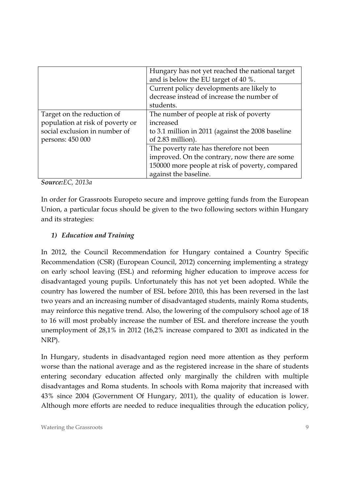|                                  | Hungary has not yet reached the national target   |
|----------------------------------|---------------------------------------------------|
|                                  | and is below the EU target of 40 %.               |
|                                  | Current policy developments are likely to         |
|                                  | decrease instead of increase the number of        |
|                                  | students.                                         |
| Target on the reduction of       | The number of people at risk of poverty           |
| population at risk of poverty or | increased                                         |
| social exclusion in number of    | to 3.1 million in 2011 (against the 2008 baseline |
| persons: 450 000                 | of 2.83 million).                                 |
|                                  | The poverty rate has therefore not been           |
|                                  | improved. On the contrary, now there are some     |
|                                  | 150000 more people at risk of poverty, compared   |
|                                  | against the baseline.                             |

*Source:EC, 2013a* 

In order for Grassroots Europeto secure and improve getting funds from the European Union, a particular focus should be given to the two following sectors within Hungary and its strategies:

#### *1) Education and Training*

In 2012, the Council Recommendation for Hungary contained a Country Specific Recommendation (CSR) (European Council, 2012) concerning implementing a strategy on early school leaving (ESL) and reforming higher education to improve access for disadvantaged young pupils. Unfortunately this has not yet been adopted. While the country has lowered the number of ESL before 2010, this has been reversed in the last two years and an increasing number of disadvantaged students, mainly Roma students, may reinforce this negative trend. Also, the lowering of the compulsory school age of 18 to 16 will most probably increase the number of ESL and therefore increase the youth unemployment of 28,1% in 2012 (16,2% increase compared to 2001 as indicated in the NRP).

In Hungary, students in disadvantaged region need more attention as they perform worse than the national average and as the registered increase in the share of students entering secondary education affected only marginally the children with multiple disadvantages and Roma students. In schools with Roma majority that increased with 43% since 2004 (Government Of Hungary, 2011), the quality of education is lower. Although more efforts are needed to reduce inequalities through the education policy,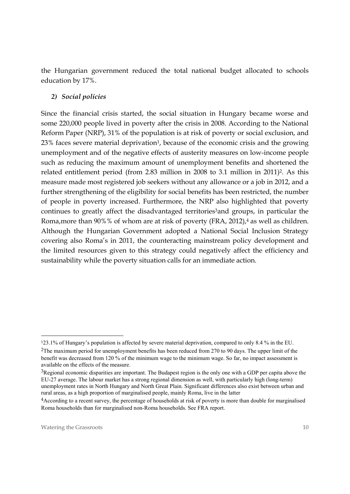the Hungarian government reduced the total national budget allocated to schools education by 17%.

## *2) Social policies*

Since the financial crisis started, the social situation in Hungary became worse and some 220,000 people lived in poverty after the crisis in 2008. According to the National Reform Paper (NRP), 31% of the population is at risk of poverty or social exclusion, and 23% faces severe material deprivation<sup>1</sup>, because of the economic crisis and the growing unemployment and of the negative effects of austerity measures on low-income people such as reducing the maximum amount of unemployment benefits and shortened the related entitlement period (from 2.83 million in 2008 to 3.1 million in 2011)<sup>2</sup>. As this measure made most registered job seekers without any allowance or a job in 2012, and a further strengthening of the eligibility for social benefits has been restricted, the number of people in poverty increased. Furthermore, the NRP also highlighted that poverty continues to greatly affect the disadvantaged territories<sup>3</sup>and groups, in particular the Roma, more than 90%% of whom are at risk of poverty (FRA, 2012),<sup>4</sup> as well as children. Although the Hungarian Government adopted a National Social Inclusion Strategy covering also Roma's in 2011, the counteracting mainstream policy development and the limited resources given to this strategy could negatively affect the efficiency and sustainability while the poverty situation calls for an immediate action.

-

<sup>1</sup>23.1% of Hungary's population is affected by severe material deprivation, compared to only 8.4 % in the EU. 2The maximum period for unemployment benefits has been reduced from 270 to 90 days. The upper limit of the benefit was decreased from 120 % of the minimum wage to the minimum wage. So far, no impact assessment is available on the effects of the measure.

<sup>3</sup>Regional economic disparities are important. The Budapest region is the only one with a GDP per capita above the EU-27 average. The labour market has a strong regional dimension as well, with particularly high (long-term) unemployment rates in North Hungary and North Great Plain. Significant differences also exist between urban and rural areas, as a high proportion of marginalised people, mainly Roma, live in the latter

<sup>4</sup>According to a recent survey, the percentage of households at risk of poverty is more than double for marginalised Roma households than for marginalised non-Roma households. See FRA report.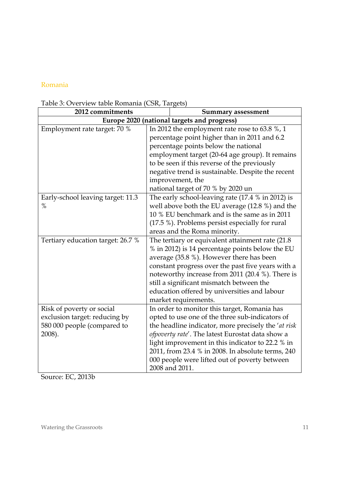#### Romania

| radie 9. Overview tadie Komania (C9K, Targets)<br>2012 commitments                                  | <b>Summary assessment</b>                                                                                                                                                                                                                                                                                                                                                              |  |
|-----------------------------------------------------------------------------------------------------|----------------------------------------------------------------------------------------------------------------------------------------------------------------------------------------------------------------------------------------------------------------------------------------------------------------------------------------------------------------------------------------|--|
|                                                                                                     | Europe 2020 (national targets and progress)                                                                                                                                                                                                                                                                                                                                            |  |
| Employment rate target: 70 %                                                                        | In 2012 the employment rate rose to 63.8 $\%$ , 1<br>percentage point higher than in 2011 and 6.2<br>percentage points below the national<br>employment target (20-64 age group). It remains<br>to be seen if this reverse of the previously<br>negative trend is sustainable. Despite the recent<br>improvement, the                                                                  |  |
| Early-school leaving target: 11.3<br>$\%$                                                           | national target of 70 % by 2020 un<br>The early school-leaving rate (17.4 % in 2012) is<br>well above both the EU average (12.8 %) and the<br>10 % EU benchmark and is the same as in 2011<br>(17.5 %). Problems persist especially for rural<br>areas and the Roma minority.                                                                                                          |  |
| Tertiary education target: 26.7 %                                                                   | The tertiary or equivalent attainment rate (21.8)<br>% in 2012) is 14 percentage points below the EU<br>average (35.8 %). However there has been<br>constant progress over the past five years with a<br>noteworthy increase from 2011 (20.4 %). There is<br>still a significant mismatch between the<br>education offered by universities and labour<br>market requirements.          |  |
| Risk of poverty or social<br>exclusion target: reducing by<br>580 000 people (compared to<br>2008). | In order to monitor this target, Romania has<br>opted to use one of the three sub-indicators of<br>the headline indicator, more precisely the 'at risk<br>ofpoverty rate'. The latest Eurostat data show a<br>light improvement in this indicator to 22.2 % in<br>2011, from 23.4 % in 2008. In absolute terms, 240<br>000 people were lifted out of poverty between<br>2008 and 2011. |  |

Source: EC, 2013b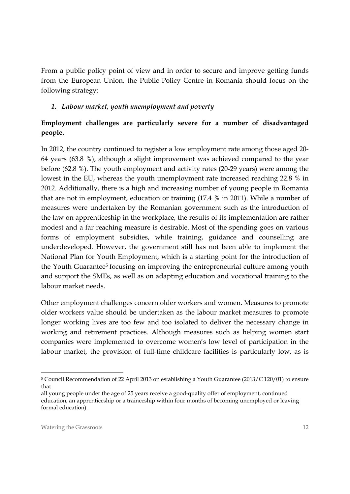From a public policy point of view and in order to secure and improve getting funds from the European Union, the Public Policy Centre in Romania should focus on the following strategy:

#### *1. Labour market, youth unemployment and poverty*

## **Employment challenges are particularly severe for a number of disadvantaged people.**

In 2012, the country continued to register a low employment rate among those aged 20- 64 years (63.8 %), although a slight improvement was achieved compared to the year before (62.8 %). The youth employment and activity rates (20-29 years) were among the lowest in the EU, whereas the youth unemployment rate increased reaching 22.8 % in 2012. Additionally, there is a high and increasing number of young people in Romania that are not in employment, education or training (17.4 % in 2011). While a number of measures were undertaken by the Romanian government such as the introduction of the law on apprenticeship in the workplace, the results of its implementation are rather modest and a far reaching measure is desirable. Most of the spending goes on various forms of employment subsidies, while training, guidance and counselling are underdeveloped. However, the government still has not been able to implement the National Plan for Youth Employment, which is a starting point for the introduction of the Youth Guarantee<sup>5</sup> focusing on improving the entrepreneurial culture among youth and support the SMEs, as well as on adapting education and vocational training to the labour market needs.

Other employment challenges concern older workers and women. Measures to promote older workers value should be undertaken as the labour market measures to promote longer working lives are too few and too isolated to deliver the necessary change in working and retirement practices. Although measures such as helping women start companies were implemented to overcome women's low level of participation in the labour market, the provision of full-time childcare facilities is particularly low, as is

-

<sup>5</sup> Council Recommendation of 22 April 2013 on establishing a Youth Guarantee (2013/C 120/01) to ensure that

all young people under the age of 25 years receive a good-quality offer of employment, continued education, an apprenticeship or a traineeship within four months of becoming unemployed or leaving formal education).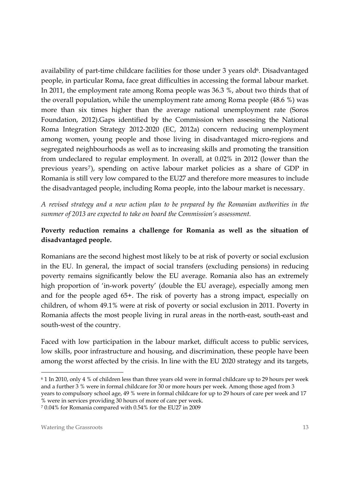availability of part-time childcare facilities for those under 3 years old<sup>6</sup>. Disadvantaged people, in particular Roma, face great difficulties in accessing the formal labour market. In 2011, the employment rate among Roma people was 36.3 %, about two thirds that of the overall population, while the unemployment rate among Roma people (48.6 %) was more than six times higher than the average national unemployment rate (Soros Foundation, 2012).Gaps identified by the Commission when assessing the National Roma Integration Strategy 2012-2020 (EC, 2012a) concern reducing unemployment among women, young people and those living in disadvantaged micro-regions and segregated neighbourhoods as well as to increasing skills and promoting the transition from undeclared to regular employment. In overall, at 0.02% in 2012 (lower than the previous years<sup>7</sup>), spending on active labour market policies as a share of GDP in Romania is still very low compared to the EU27 and therefore more measures to include the disadvantaged people, including Roma people, into the labour market is necessary.

*A revised strategy and a new action plan to be prepared by the Romanian authorities in the summer of 2013 are expected to take on board the Commission's assessment.* 

## **Poverty reduction remains a challenge for Romania as well as the situation of disadvantaged people.**

Romanians are the second highest most likely to be at risk of poverty or social exclusion in the EU. In general, the impact of social transfers (excluding pensions) in reducing poverty remains significantly below the EU average. Romania also has an extremely high proportion of 'in-work poverty' (double the EU average), especially among men and for the people aged 65+. The risk of poverty has a strong impact, especially on children, of whom 49.1% were at risk of poverty or social exclusion in 2011. Poverty in Romania affects the most people living in rural areas in the north-east, south-east and south-west of the country.

Faced with low participation in the labour market, difficult access to public services, low skills, poor infrastructure and housing, and discrimination, these people have been among the worst affected by the crisis. In line with the EU 2020 strategy and its targets,

7 0.04% for Romania compared with 0.54% for the EU27 in 2009

-

<sup>6 1</sup> In 2010, only 4 % of children less than three years old were in formal childcare up to 29 hours per week and a further 3 % were in formal childcare for 30 or more hours per week. Among those aged from 3 years to compulsory school age, 49 % were in formal childcare for up to 29 hours of care per week and 17 % were in services providing 30 hours of more of care per week.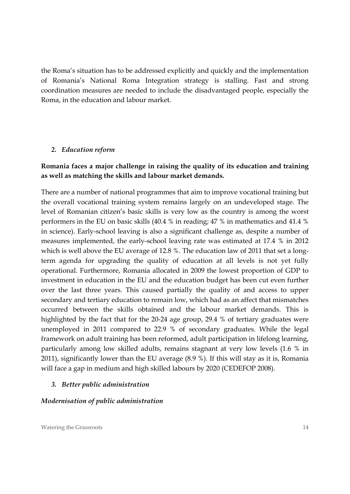the Roma's situation has to be addressed explicitly and quickly and the implementation of Romania's National Roma Integration strategy is stalling. Fast and strong coordination measures are needed to include the disadvantaged people, especially the Roma, in the education and labour market.

#### *2. Education reform*

#### **Romania faces a major challenge in raising the quality of its education and training as well as matching the skills and labour market demands.**

There are a number of national programmes that aim to improve vocational training but the overall vocational training system remains largely on an undeveloped stage. The level of Romanian citizen's basic skills is very low as the country is among the worst performers in the EU on basic skills (40.4 % in reading; 47 % in mathematics and 41.4 % in science). Early-school leaving is also a significant challenge as, despite a number of measures implemented, the early-school leaving rate was estimated at 17.4 % in 2012 which is well above the EU average of 12.8 %. The education law of 2011 that set a longterm agenda for upgrading the quality of education at all levels is not yet fully operational. Furthermore, Romania allocated in 2009 the lowest proportion of GDP to investment in education in the EU and the education budget has been cut even further over the last three years. This caused partially the quality of and access to upper secondary and tertiary education to remain low, which had as an affect that mismatches occurred between the skills obtained and the labour market demands. This is highlighted by the fact that for the 20-24 age group, 29.4 % of tertiary graduates were unemployed in 2011 compared to 22.9 % of secondary graduates. While the legal framework on adult training has been reformed, adult participation in lifelong learning, particularly among low skilled adults, remains stagnant at very low levels (1.6 % in 2011), significantly lower than the EU average (8.9 %). If this will stay as it is, Romania will face a gap in medium and high skilled labours by 2020 (CEDEFOP 2008).

#### *3. Better public administration*

#### *Modernisation of public administration*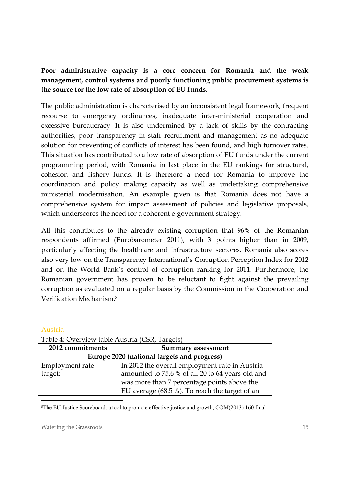## **Poor administrative capacity is a core concern for Romania and the weak management, control systems and poorly functioning public procurement systems is the source for the low rate of absorption of EU funds.**

The public administration is characterised by an inconsistent legal framework, frequent recourse to emergency ordinances, inadequate inter-ministerial cooperation and excessive bureaucracy. It is also undermined by a lack of skills by the contracting authorities, poor transparency in staff recruitment and management as no adequate solution for preventing of conflicts of interest has been found, and high turnover rates. This situation has contributed to a low rate of absorption of EU funds under the current programming period, with Romania in last place in the EU rankings for structural, cohesion and fishery funds. It is therefore a need for Romania to improve the coordination and policy making capacity as well as undertaking comprehensive ministerial modernisation. An example given is that Romania does not have a comprehensive system for impact assessment of policies and legislative proposals, which underscores the need for a coherent e-government strategy.

All this contributes to the already existing corruption that 96% of the Romanian respondents affirmed (Eurobarometer 2011), with 3 points higher than in 2009, particularly affecting the healthcare and infrastructure sectores. Romania also scores also very low on the Transparency International's Corruption Perception Index for 2012 and on the World Bank's control of corruption ranking for 2011. Furthermore, the Romanian government has proven to be reluctant to fight against the prevailing corruption as evaluated on a regular basis by the Commission in the Cooperation and Verification Mechanism.8

#### Austria

-

| Twore 1. $\sigma$ , cf , i.e., there is nothing $\sigma$ correspondence |                                                  |
|-------------------------------------------------------------------------|--------------------------------------------------|
| 2012 commitments<br>Summary assessment                                  |                                                  |
| Europe 2020 (national targets and progress)                             |                                                  |
| Employment rate                                                         | In 2012 the overall employment rate in Austria   |
| target:                                                                 | amounted to 75.6 % of all 20 to 64 years-old and |
|                                                                         | was more than 7 percentage points above the      |
|                                                                         | EU average (68.5 %). To reach the target of an   |

Table 4: Overview table Austria (CSR, Targets)

8The EU Justice Scoreboard: a tool to promote effective justice and growth, COM(2013) 160 final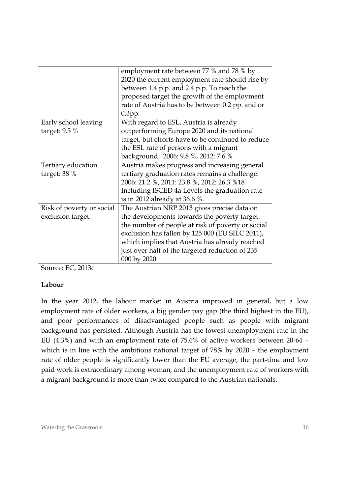| employment rate between 77 % and 78 % by           |
|----------------------------------------------------|
| 2020 the current employment rate should rise by    |
| between 1.4 p.p. and 2.4 p.p. To reach the         |
| proposed target the growth of the employment       |
| rate of Austria has to be between 0.2 pp. and or   |
| $0.3$ pp.                                          |
| With regard to ESL, Austria is already             |
| outperforming Europe 2020 and its national         |
| target, but efforts have to be continued to reduce |
| the ESL rate of persons with a migrant             |
| background. 2006: 9.8 %, 2012: 7.6 %               |
| Austria makes progress and increasing general      |
| tertiary graduation rates remains a challenge.     |
| 2006: 21.2 %, 2011: 23.8 %, 2012: 26.3 %18         |
| Including ISCED 4a Levels the graduation rate      |
| is in 2012 already at 36.6 %.                      |
| The Austrian NRP 2013 gives precise data on        |
| the developments towards the poverty target:       |
| the number of people at risk of poverty or social  |
| exclusion has fallen by 125 000 (EU SILC 2011),    |
| which implies that Austria has already reached     |
| just over half of the targeted reduction of 235    |
| 000 by 2020.                                       |
|                                                    |

Source: EC, 2013c

#### **Labour**

In the year 2012, the labour market in Austria improved in general, but a low employment rate of older workers, a big gender pay gap (the third highest in the EU), and poor performances of disadvantaged people such as people with migrant background has persisted. Although Austria has the lowest unemployment rate in the EU (4.3%) and with an employment rate of 75.6% of active workers between 20-64 – which is in line with the ambitious national target of 78% by 2020 – the employment rate of older people is significantly lower than the EU average, the part-time and low paid work is extraordinary among woman, and the unemployment rate of workers with a migrant background is more than twice compared to the Austrian nationals.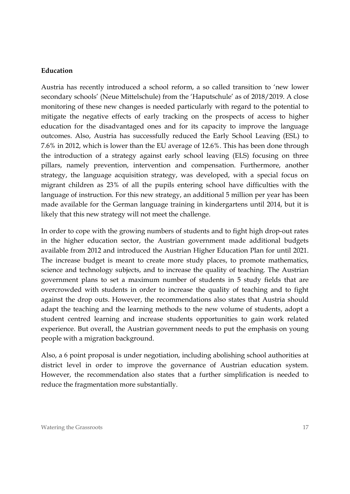#### **Education**

Austria has recently introduced a school reform, a so called transition to 'new lower secondary schools' (Neue Mittelschule) from the 'Haputschule' as of 2018/2019. A close monitoring of these new changes is needed particularly with regard to the potential to mitigate the negative effects of early tracking on the prospects of access to higher education for the disadvantaged ones and for its capacity to improve the language outcomes. Also, Austria has successfully reduced the Early School Leaving (ESL) to 7.6% in 2012, which is lower than the EU average of 12.6%. This has been done through the introduction of a strategy against early school leaving (ELS) focusing on three pillars, namely prevention, intervention and compensation. Furthermore, another strategy, the language acquisition strategy, was developed, with a special focus on migrant children as 23% of all the pupils entering school have difficulties with the language of instruction. For this new strategy, an additional 5 million per year has been made available for the German language training in kindergartens until 2014, but it is likely that this new strategy will not meet the challenge.

In order to cope with the growing numbers of students and to fight high drop-out rates in the higher education sector, the Austrian government made additional budgets available from 2012 and introduced the Austrian Higher Education Plan for until 2021. The increase budget is meant to create more study places, to promote mathematics, science and technology subjects, and to increase the quality of teaching. The Austrian government plans to set a maximum number of students in 5 study fields that are overcrowded with students in order to increase the quality of teaching and to fight against the drop outs. However, the recommendations also states that Austria should adapt the teaching and the learning methods to the new volume of students, adopt a student centred learning and increase students opportunities to gain work related experience. But overall, the Austrian government needs to put the emphasis on young people with a migration background.

Also, a 6 point proposal is under negotiation, including abolishing school authorities at district level in order to improve the governance of Austrian education system. However, the recommendation also states that a further simplification is needed to reduce the fragmentation more substantially.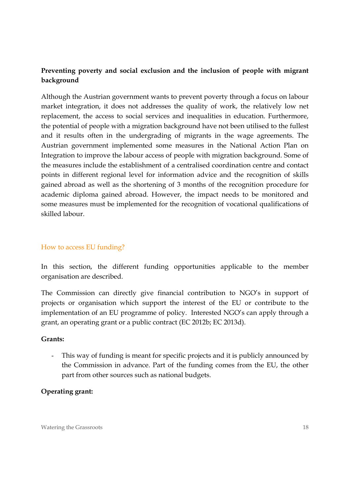## **Preventing poverty and social exclusion and the inclusion of people with migrant background**

Although the Austrian government wants to prevent poverty through a focus on labour market integration, it does not addresses the quality of work, the relatively low net replacement, the access to social services and inequalities in education. Furthermore, the potential of people with a migration background have not been utilised to the fullest and it results often in the undergrading of migrants in the wage agreements. The Austrian government implemented some measures in the National Action Plan on Integration to improve the labour access of people with migration background. Some of the measures include the establishment of a centralised coordination centre and contact points in different regional level for information advice and the recognition of skills gained abroad as well as the shortening of 3 months of the recognition procedure for academic diploma gained abroad. However, the impact needs to be monitored and some measures must be implemented for the recognition of vocational qualifications of skilled labour.

#### How to access EU funding?

In this section, the different funding opportunities applicable to the member organisation are described.

The Commission can directly give financial contribution to NGO's in support of projects or organisation which support the interest of the EU or contribute to the implementation of an EU programme of policy. Interested NGO's can apply through a grant, an operating grant or a public contract (EC 2012b; EC 2013d).

#### **Grants:**

- This way of funding is meant for specific projects and it is publicly announced by the Commission in advance. Part of the funding comes from the EU, the other part from other sources such as national budgets.

#### **Operating grant:**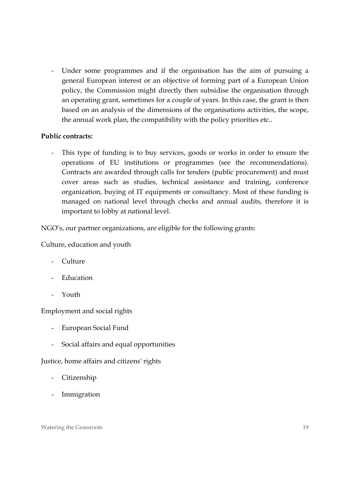Under some programmes and if the organisation has the aim of pursuing a general European interest or an objective of forming part of a European Union policy, the Commission might directly then subsidise the organisation through an operating grant, sometimes for a couple of years. In this case, the grant is then based on an analysis of the dimensions of the organisations activities, the scope, the annual work plan, the compatibility with the policy priorities etc..

#### **Public contracts:**

This type of funding is to buy services, goods or works in order to ensure the operations of EU institutions or programmes (see the recommendations). Contracts are awarded through calls for tenders (public procurement) and must cover areas such as studies, technical assistance and training, conference organization, buying of IT equipments or consultancy. Most of these funding is managed on national level through checks and annual audits, therefore it is important to lobby at national level.

NGO's, our partner organizations, are eligible for the following grants:

Culture, education and youth

- Culture
- Education
- Youth

Employment and social rights

- European Social Fund
- Social affairs and equal opportunities

Justice, home affairs and citizens' rights

- Citizenship
- **Immigration**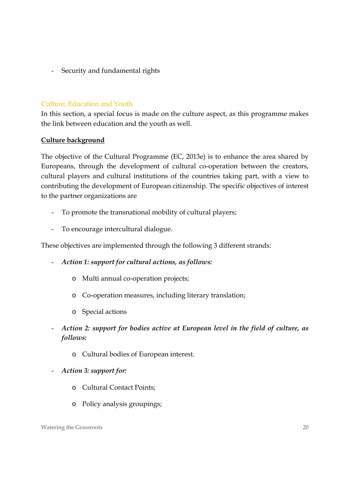Security and fundamental rights

#### Culture, Education and Youth

In this section, a special focus is made on the culture aspect, as this programme makes the link between education and the youth as well.

#### **Culture background**

The objective of the Cultural Programme (EC, 2013e) is to enhance the area shared by Europeans, through the development of cultural co-operation between the creators, cultural players and cultural institutions of the countries taking part, with a view to contributing the development of European citizenship. The specific objectives of interest to the partner organizations are

- To promote the transnational mobility of cultural players;
- To encourage intercultural dialogue.

These objectives are implemented through the following 3 different strands:

- *Action 1: support for cultural actions, as follows:* 
	- o Multi annual co-operation projects;
	- o Co-operation measures, including literary translation;
	- o Special actions
- *Action 2: support for bodies active at European level in the field of culture, as follows:* 
	- o Cultural bodies of European interest.
- *Action 3: support for:* 
	- o Cultural Contact Points;
	- o Policy analysis groupings;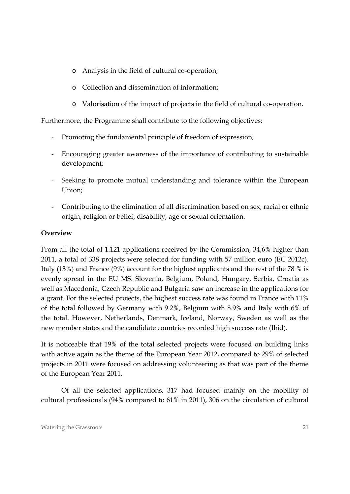- o Analysis in the field of cultural co-operation;
- o Collection and dissemination of information;
- o Valorisation of the impact of projects in the field of cultural co-operation.

Furthermore, the Programme shall contribute to the following objectives:

- Promoting the fundamental principle of freedom of expression;
- Encouraging greater awareness of the importance of contributing to sustainable development;
- Seeking to promote mutual understanding and tolerance within the European Union;
- Contributing to the elimination of all discrimination based on sex, racial or ethnic origin, religion or belief, disability, age or sexual orientation.

## **Overview**

From all the total of 1.121 applications received by the Commission, 34,6% higher than 2011, a total of 338 projects were selected for funding with 57 million euro (EC 2012c). Italy (13%) and France (9%) account for the highest applicants and the rest of the 78 % is evenly spread in the EU MS. Slovenia, Belgium, Poland, Hungary, Serbia, Croatia as well as Macedonia, Czech Republic and Bulgaria saw an increase in the applications for a grant. For the selected projects, the highest success rate was found in France with 11% of the total followed by Germany with 9.2%, Belgium with 8.9% and Italy with 6% of the total. However, Netherlands, Denmark, Iceland, Norway, Sweden as well as the new member states and the candidate countries recorded high success rate (Ibid).

It is noticeable that 19% of the total selected projects were focused on building links with active again as the theme of the European Year 2012, compared to 29% of selected projects in 2011 were focused on addressing volunteering as that was part of the theme of the European Year 2011.

Of all the selected applications, 317 had focused mainly on the mobility of cultural professionals (94% compared to 61% in 2011), 306 on the circulation of cultural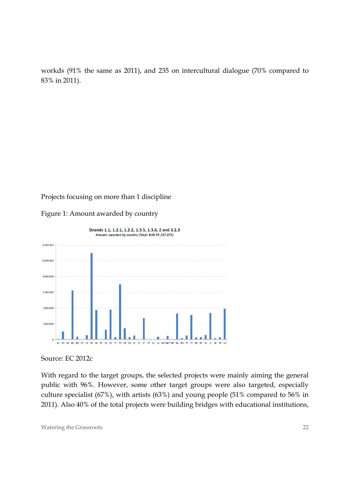workds (91% the same as 2011), and 235 on intercultural dialogue (70% compared to 83% in 2011).

#### Projects focusing on more than 1 discipline

Figure 1: Amount awarded by country



Source: EC 2012c

With regard to the target groups, the selected projects were mainly aiming the general public with 96%. However, some other target groups were also targeted, especially culture specialist (67%), with artists (63%) and young people (51% compared to 56% in 2011). Also 40% of the total projects were building bridges with educational institutions,

Watering the Grassroots 22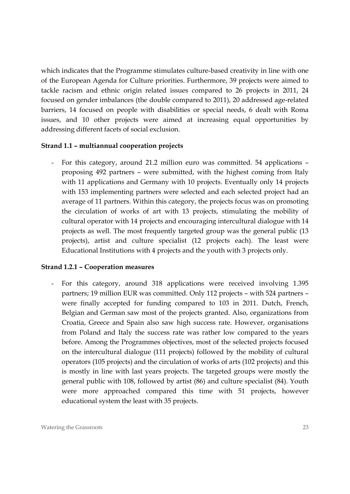which indicates that the Programme stimulates culture-based creativity in line with one of the European Agenda for Culture priorities. Furthermore, 39 projects were aimed to tackle racism and ethnic origin related issues compared to 26 projects in 2011, 24 focused on gender imbalances (the double compared to 2011), 20 addressed age-related barriers, 14 focused on people with disabilities or special needs, 6 dealt with Roma issues, and 10 other projects were aimed at increasing equal opportunities by addressing different facets of social exclusion.

#### **Strand 1.1 – multiannual cooperation projects**

- For this category, around 21.2 million euro was committed. 54 applications – proposing 492 partners – were submitted, with the highest coming from Italy with 11 applications and Germany with 10 projects. Eventually only 14 projects with 153 implementing partners were selected and each selected project had an average of 11 partners. Within this category, the projects focus was on promoting the circulation of works of art with 13 projects, stimulating the mobility of cultural operator with 14 projects and encouraging intercultural dialogue with 14 projects as well. The most frequently targeted group was the general public (13 projects), artist and culture specialist (12 projects each). The least were Educational Institutions with 4 projects and the youth with 3 projects only.

#### **Strand 1.2.1 – Cooperation measures**

For this category, around 318 applications were received involving 1.395 partners; 19 million EUR was committed. Only 112 projects – with 524 partners – were finally accepted for funding compared to 103 in 2011. Dutch, French, Belgian and German saw most of the projects granted. Also, organizations from Croatia, Greece and Spain also saw high success rate. However, organisations from Poland and Italy the success rate was rather low compared to the years before. Among the Programmes objectives, most of the selected projects focused on the intercultural dialogue (111 projects) followed by the mobility of cultural operators (105 projects) and the circulation of works of arts (102 projects) and this is mostly in line with last years projects. The targeted groups were mostly the general public with 108, followed by artist (86) and culture specialist (84). Youth were more approached compared this time with 51 projects, however educational system the least with 35 projects.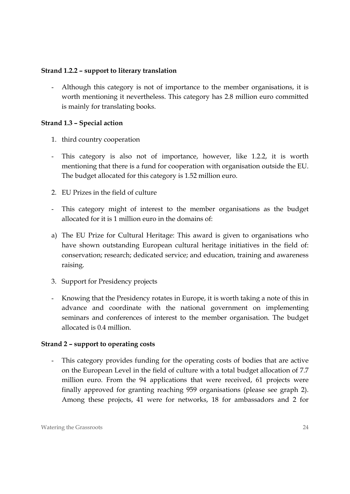#### **Strand 1.2.2 – support to literary translation**

- Although this category is not of importance to the member organisations, it is worth mentioning it nevertheless. This category has 2.8 million euro committed is mainly for translating books.

#### **Strand 1.3 – Special action**

- 1. third country cooperation
- This category is also not of importance, however, like 1.2.2, it is worth mentioning that there is a fund for cooperation with organisation outside the EU. The budget allocated for this category is 1.52 million euro.
- 2. EU Prizes in the field of culture
- This category might of interest to the member organisations as the budget allocated for it is 1 million euro in the domains of:
- a) The EU Prize for Cultural Heritage: This award is given to organisations who have shown outstanding European cultural heritage initiatives in the field of: conservation; research; dedicated service; and education, training and awareness raising.
- 3. Support for Presidency projects
- Knowing that the Presidency rotates in Europe, it is worth taking a note of this in advance and coordinate with the national government on implementing seminars and conferences of interest to the member organisation. The budget allocated is 0.4 million.

#### **Strand 2 – support to operating costs**

This category provides funding for the operating costs of bodies that are active on the European Level in the field of culture with a total budget allocation of 7.7 million euro. From the 94 applications that were received, 61 projects were finally approved for granting reaching 959 organisations (please see graph 2). Among these projects, 41 were for networks, 18 for ambassadors and 2 for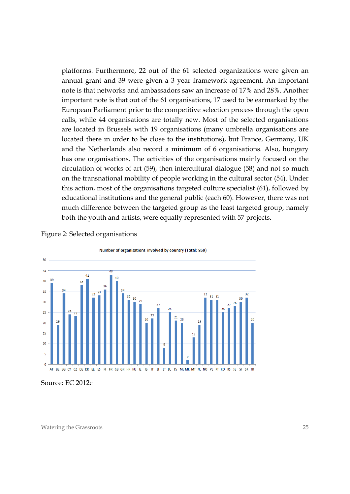platforms. Furthermore, 22 out of the 61 selected organizations were given an annual grant and 39 were given a 3 year framework agreement. An important note is that networks and ambassadors saw an increase of 17% and 28%. Another important note is that out of the 61 organisations, 17 used to be earmarked by the European Parliament prior to the competitive selection process through the open calls, while 44 organisations are totally new. Most of the selected organisations are located in Brussels with 19 organisations (many umbrella organisations are located there in order to be close to the institutions), but France, Germany, UK and the Netherlands also record a minimum of 6 organisations. Also, hungary has one organisations. The activities of the organisations mainly focused on the circulation of works of art (59), then intercultural dialogue (58) and not so much on the transnational mobility of people working in the cultural sector (54). Under this action, most of the organisations targeted culture specialist (61), followed by educational institutions and the general public (each 60). However, there was not much difference between the targeted group as the least targeted group, namely both the youth and artists, were equally represented with 57 projects.



Figure 2: Selected organisations

Source: EC 2012c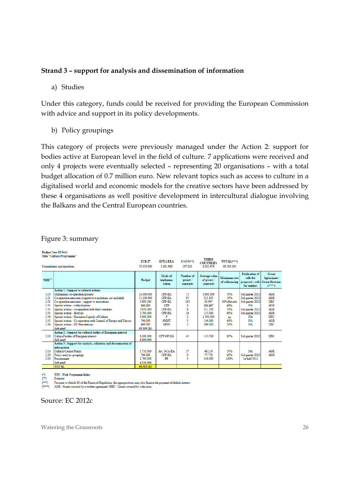#### **Strand 3 – support for analysis and dissemination of information**

a) Studies

Under this category, funds could be received for providing the European Commission with advice and support in its policy developments.

b) Policy groupings

This category of projects were previously managed under the Action 2: support for bodies active at European level in the field of culture. 7 applications were received and only 4 projects were eventually selected – representing 20 organisations – with a total budget allocation of 0.7 million euro. New relevant topics such as access to culture in a digitalised world and economic models for the creative sectors have been addressed by these 4 organisations as well positive development in intercultural dialogue involving the Balkans and the Central European countries.

|  | Figure 3: summary |
|--|-------------------|
|--|-------------------|

Budget Line 15.0444

| <b>Title "Culture Programme"</b> |                                                                  |                             |                                |                                                       |                                               |                                      |                                                                                                      |                                        |
|----------------------------------|------------------------------------------------------------------|-----------------------------|--------------------------------|-------------------------------------------------------|-----------------------------------------------|--------------------------------------|------------------------------------------------------------------------------------------------------|----------------------------------------|
| Commitment appropriations        |                                                                  | <b>EUR 27</b><br>59.356.000 | <b>EFTA/EEA</b><br>1.661.968   | $C4/C5$ <sup>(<math>\pm \pm</math></sup> )<br>297.821 | <b>THIRD</b><br><b>COUNTRIES</b><br>8.203.474 | TOTAL <sup>(***)</sup><br>69.519.263 |                                                                                                      |                                        |
| WPI <sup>(t)</sup>               |                                                                  | <b>Budget</b>               | Mode of<br>implemen-<br>tation | Number of<br>grants/<br>contracts                     | Average value<br>of grants /<br>contracts     | Maximum rate                         | <b>Publication of</b><br>calls for<br>of cofinancing proposals / calls Grant Decision<br>for tenders | <b>Grant</b><br>Agreement/<br>$(****)$ |
|                                  | Action 1 - Support to cultural actions                           |                             |                                |                                                       |                                               |                                      |                                                                                                      |                                        |
| 1.10                             | Multiannual co-operation projects                                | 24.000.000                  | <b>CFP-EA</b>                  | 15                                                    | 1.600.000                                     | 50%                                  | 3rd quarter 2012                                                                                     | <b>AGR</b>                             |
| 1.21                             | Co-operation measures (support to translations not included)     | 21.100.000                  | <b>CFP-EA</b>                  | 95                                                    | 222.105                                       | 50%                                  | 3rd quarter 2012                                                                                     | AGR                                    |
| 1.22                             | Co-operation measures - support to translations                  | 3.899.263                   | <b>CFP-EA</b>                  | 115                                                   | 33.907                                        | 50%/flat rate                        | 3rd quarter 2012                                                                                     | <b>DEC</b>                             |
| 1.31                             | Special actions - cultural prizes                                | 860,000                     | CFP                            | 3                                                     | 286.667                                       | 60%                                  | NA                                                                                                   | <b>AGR</b>                             |
| 1.32                             | Special actions - co-operation with third countries              | 2.650.000                   | <b>CFP-EA</b>                  | 8                                                     | 331.250                                       | 50%                                  | 3rd quarter 2012                                                                                     | AGR                                    |
| 1.33                             | Special actions - festivals                                      | 2.700.000                   | <b>CFP-EA</b>                  | 20                                                    | 135,000                                       | 60%                                  | 3rd quarter 2012                                                                                     | <b>AGR</b>                             |
| 1.34                             | Special actions - European Capitals of Culture                   | 3.000.000                   | P                              | $\overline{2}$                                        | 1.500.000                                     | na                                   | NA                                                                                                   | <b>DEC</b>                             |
| 1.35                             | Special actions - Co-operation with Council of Europe and Unesco | 700,000                     | <b>JOINT</b>                   | 5                                                     | 140,000                                       | 60%                                  | NA                                                                                                   | <b>AGR</b>                             |
| 1.36                             | Special actions - EU Presidencies                                | 400.000                     | <b>MON</b>                     | $\mathfrak{D}$                                        | 200,000                                       | 50%                                  | NA                                                                                                   | <b>DEC</b>                             |
|                                  | Sub-total                                                        | 59.309.263                  |                                |                                                       |                                               |                                      |                                                                                                      |                                        |
|                                  | Action 2 - Support for cultural bodies of European interest      |                             |                                |                                                       |                                               |                                      |                                                                                                      |                                        |
| 2.10                             | Cultural bodies of European interest                             | 6.100.000                   | CFP-OP-EA                      | 45                                                    | 135.556                                       | 80%                                  | 3rd quarter 2012                                                                                     | <b>DEC</b>                             |
|                                  | Sub-total                                                        | 6.100.000                   |                                |                                                       |                                               |                                      |                                                                                                      |                                        |
|                                  | Action 3 - Support for analysis, collection and dissemination of |                             |                                |                                                       |                                               |                                      |                                                                                                      |                                        |
|                                  | information                                                      |                             |                                |                                                       |                                               |                                      |                                                                                                      |                                        |
| 3.10<br>3.20                     | <b>Cultural Contact Points</b>                                   | 1.710.000<br>700.000        | Art. 54.2c-EA<br><b>CFP-EA</b> | 37<br>9                                               | 46.216<br>77.778                              | 50%<br>60%                           | NA                                                                                                   | <b>AGR</b><br><b>AGR</b>               |
| 3.30                             | Policy analysis groupings<br>Procurement                         | 1.700.000                   | PP                             | 5                                                     |                                               | 100%                                 | 3rd quarter 2012<br>1st half 2013                                                                    |                                        |
|                                  |                                                                  |                             |                                |                                                       | 340,000                                       |                                      |                                                                                                      |                                        |
|                                  | Sub-total                                                        | 4.110.000                   |                                |                                                       |                                               |                                      |                                                                                                      |                                        |
|                                  | <b>TOTAL</b>                                                     | 69.519.263                  |                                |                                                       |                                               |                                      |                                                                                                      |                                        |

WPI : Work Programme Index

Fefimat

Pursuant to Article 83 of the Financial Regulation, the appropriations may also finance the payment of default interest

 $(****)$  AGR - Grants covered by a written agreement / DEC - Grants covered by a decision

#### Source: EC 2012c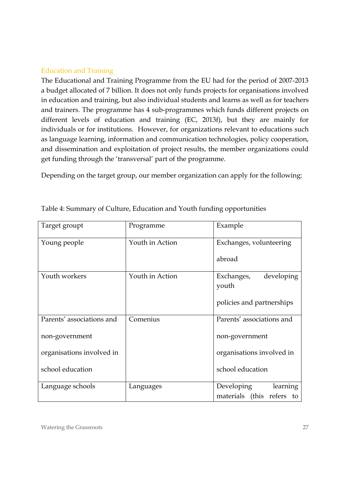## Education and Training

The Educational and Training Programme from the EU had for the period of 2007-2013 a budget allocated of 7 billion. It does not only funds projects for organisations involved in education and training, but also individual students and learns as well as for teachers and trainers. The programme has 4 sub-programmes which funds different projects on different levels of education and training (EC, 2013f), but they are mainly for individuals or for institutions. However, for organizations relevant to educations such as language learning, information and communication technologies, policy cooperation, and dissemination and exploitation of project results, the member organizations could get funding through the 'transversal' part of the programme.

Depending on the target group, our member organization can apply for the following:

| Target groupt             | Programme       | Example                   |  |  |  |
|---------------------------|-----------------|---------------------------|--|--|--|
| Young people              | Youth in Action | Exchanges, volunteering   |  |  |  |
|                           |                 | abroad                    |  |  |  |
| Youth workers             | Youth in Action | Exchanges,<br>developing  |  |  |  |
|                           |                 | youth                     |  |  |  |
|                           |                 | policies and partnerships |  |  |  |
| Parents' associations and | Comenius        | Parents' associations and |  |  |  |
| non-government            |                 | non-government            |  |  |  |
| organisations involved in |                 | organisations involved in |  |  |  |
| school education          |                 | school education          |  |  |  |
| Language schools          | Languages       | Developing<br>learning    |  |  |  |
|                           |                 | materials (this refers to |  |  |  |

Table 4: Summary of Culture, Education and Youth funding opportunities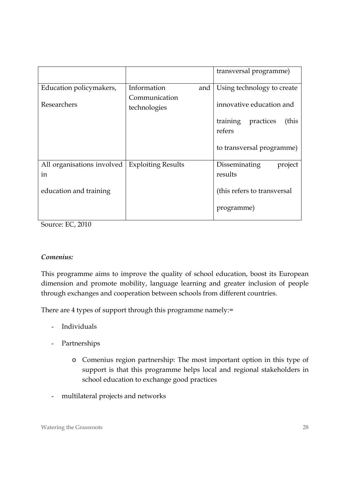|                            |                               | transversal programme)                   |  |  |
|----------------------------|-------------------------------|------------------------------------------|--|--|
| Education policymakers,    | Information<br>and            | Using technology to create               |  |  |
| Researchers                | Communication<br>technologies | innovative education and                 |  |  |
|                            |                               | training<br>practices<br>(this<br>refers |  |  |
|                            |                               | to transversal programme)                |  |  |
| All organisations involved | <b>Exploiting Results</b>     | Disseminating<br>project                 |  |  |
| in                         |                               | results                                  |  |  |
| education and training     |                               | (this refers to transversal              |  |  |
|                            |                               | programme)                               |  |  |
|                            |                               |                                          |  |  |

Source: EC, 2010

## *Comenius:*

This programme aims to improve the quality of school education, boost its European dimension and promote mobility, language learning and greater inclusion of people through exchanges and cooperation between schools from different countries.

There are 4 types of support through this programme namely:=

- Individuals
- Partnerships
	- o Comenius region partnership: The most important option in this type of support is that this programme helps local and regional stakeholders in school education to exchange good practices
- multilateral projects and networks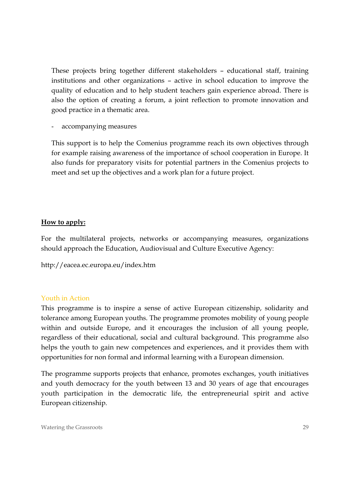These projects bring together different stakeholders – educational staff, training institutions and other organizations – active in school education to improve the quality of education and to help student teachers gain experience abroad. There is also the option of creating a forum, a joint reflection to promote innovation and good practice in a thematic area.

accompanying measures

This support is to help the Comenius programme reach its own objectives through for example raising awareness of the importance of school cooperation in Europe. It also funds for preparatory visits for potential partners in the Comenius projects to meet and set up the objectives and a work plan for a future project.

#### **How to apply:**

For the multilateral projects, networks or accompanying measures, organizations should approach the Education, Audiovisual and Culture Executive Agency:

http://eacea.ec.europa.eu/index.htm

#### Youth in Action

This programme is to inspire a sense of active European citizenship, solidarity and tolerance among European youths. The programme promotes mobility of young people within and outside Europe, and it encourages the inclusion of all young people, regardless of their educational, social and cultural background. This programme also helps the youth to gain new competences and experiences, and it provides them with opportunities for non formal and informal learning with a European dimension.

The programme supports projects that enhance, promotes exchanges, youth initiatives and youth democracy for the youth between 13 and 30 years of age that encourages youth participation in the democratic life, the entrepreneurial spirit and active European citizenship.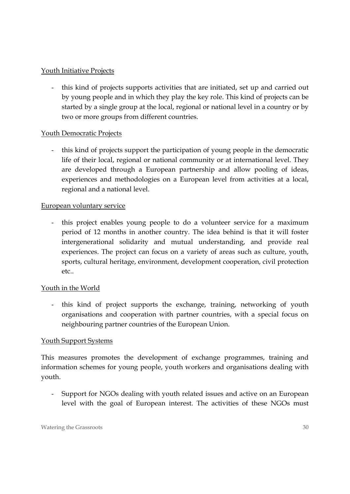## Youth Initiative Projects

- this kind of projects supports activities that are initiated, set up and carried out by young people and in which they play the key role. This kind of projects can be started by a single group at the local, regional or national level in a country or by two or more groups from different countries.

## Youth Democratic Projects

- this kind of projects support the participation of young people in the democratic life of their local, regional or national community or at international level. They are developed through a European partnership and allow pooling of ideas, experiences and methodologies on a European level from activities at a local, regional and a national level.

## European voluntary service

- this project enables young people to do a volunteer service for a maximum period of 12 months in another country. The idea behind is that it will foster intergenerational solidarity and mutual understanding, and provide real experiences. The project can focus on a variety of areas such as culture, youth, sports, cultural heritage, environment, development cooperation, civil protection etc..

## Youth in the World

- this kind of project supports the exchange, training, networking of youth organisations and cooperation with partner countries, with a special focus on neighbouring partner countries of the European Union.

#### Youth Support Systems

This measures promotes the development of exchange programmes, training and information schemes for young people, youth workers and organisations dealing with youth.

Support for NGOs dealing with youth related issues and active on an European level with the goal of European interest. The activities of these NGOs must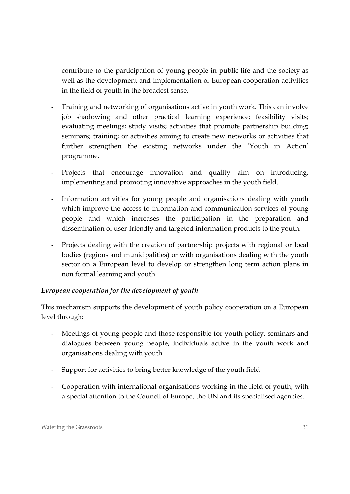contribute to the participation of young people in public life and the society as well as the development and implementation of European cooperation activities in the field of youth in the broadest sense.

- Training and networking of organisations active in youth work. This can involve job shadowing and other practical learning experience; feasibility visits; evaluating meetings; study visits; activities that promote partnership building; seminars; training; or activities aiming to create new networks or activities that further strengthen the existing networks under the 'Youth in Action' programme.
- Projects that encourage innovation and quality aim on introducing, implementing and promoting innovative approaches in the youth field.
- Information activities for young people and organisations dealing with youth which improve the access to information and communication services of young people and which increases the participation in the preparation and dissemination of user-friendly and targeted information products to the youth.
- Projects dealing with the creation of partnership projects with regional or local bodies (regions and municipalities) or with organisations dealing with the youth sector on a European level to develop or strengthen long term action plans in non formal learning and youth.

## *European cooperation for the development of youth*

This mechanism supports the development of youth policy cooperation on a European level through:

- Meetings of young people and those responsible for youth policy, seminars and dialogues between young people, individuals active in the youth work and organisations dealing with youth.
- Support for activities to bring better knowledge of the youth field
- Cooperation with international organisations working in the field of youth, with a special attention to the Council of Europe, the UN and its specialised agencies.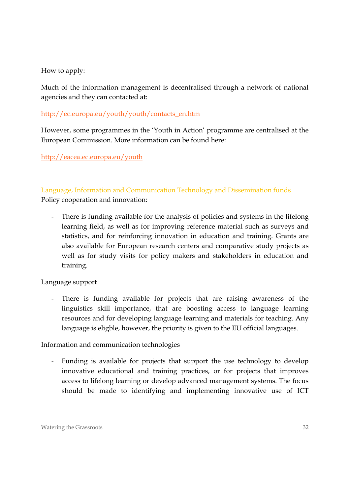How to apply:

Much of the information management is decentralised through a network of national agencies and they can contacted at:

## http://ec.europa.eu/youth/youth/contacts\_en.htm

However, some programmes in the 'Youth in Action' programme are centralised at the European Commission. More information can be found here:

http://eacea.ec.europa.eu/youth

## Language, Information and Communication Technology and Dissemination funds

Policy cooperation and innovation:

There is funding available for the analysis of policies and systems in the lifelong learning field, as well as for improving reference material such as surveys and statistics, and for reinforcing innovation in education and training. Grants are also available for European research centers and comparative study projects as well as for study visits for policy makers and stakeholders in education and training.

Language support

- There is funding available for projects that are raising awareness of the linguistics skill importance, that are boosting access to language learning resources and for developing language learning and materials for teaching. Any language is eligble, however, the priority is given to the EU official languages.

Information and communication technologies

Funding is available for projects that support the use technology to develop innovative educational and training practices, or for projects that improves access to lifelong learning or develop advanced management systems. The focus should be made to identifying and implementing innovative use of ICT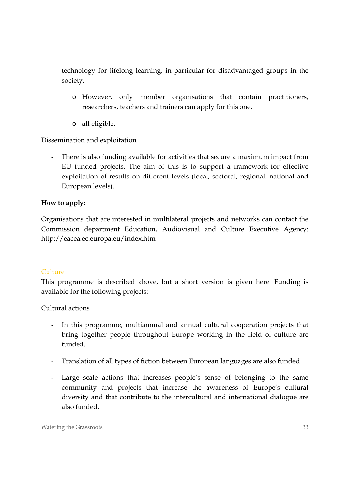technology for lifelong learning, in particular for disadvantaged groups in the society.

- o However, only member organisations that contain practitioners, researchers, teachers and trainers can apply for this one.
- o all eligible.

Dissemination and exploitation

There is also funding available for activities that secure a maximum impact from EU funded projects. The aim of this is to support a framework for effective exploitation of results on different levels (local, sectoral, regional, national and European levels).

## **How to apply:**

Organisations that are interested in multilateral projects and networks can contact the Commission department Education, Audiovisual and Culture Executive Agency: http://eacea.ec.europa.eu/index.htm

## Culture

This programme is described above, but a short version is given here. Funding is available for the following projects:

Cultural actions

- In this programme, multiannual and annual cultural cooperation projects that bring together people throughout Europe working in the field of culture are funded.
- Translation of all types of fiction between European languages are also funded
- Large scale actions that increases people's sense of belonging to the same community and projects that increase the awareness of Europe's cultural diversity and that contribute to the intercultural and international dialogue are also funded.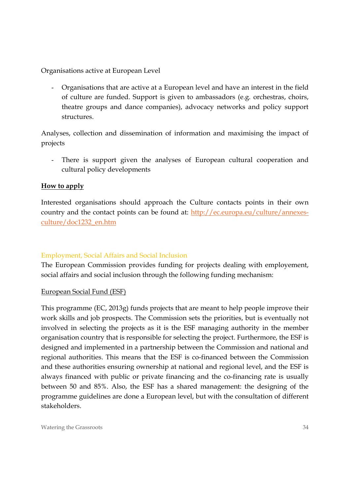Organisations active at European Level

- Organisations that are active at a European level and have an interest in the field of culture are funded. Support is given to ambassadors (e.g. orchestras, choirs, theatre groups and dance companies), advocacy networks and policy support structures.

Analyses, collection and dissemination of information and maximising the impact of projects

There is support given the analyses of European cultural cooperation and cultural policy developments

#### **How to apply**

Interested organisations should approach the Culture contacts points in their own country and the contact points can be found at: http://ec.europa.eu/culture/annexesculture/doc1232\_en.htm

#### Employment, Social Affairs and Social Inclusion

The European Commission provides funding for projects dealing with employement, social affairs and social inclusion through the following funding mechanism:

#### European Social Fund (ESF)

This programme (EC, 2013g) funds projects that are meant to help people improve their work skills and job prospects. The Commission sets the priorities, but is eventually not involved in selecting the projects as it is the ESF managing authority in the member organisation country that is responsible for selecting the project. Furthermore, the ESF is designed and implemented in a partnership between the Commission and national and regional authorities. This means that the ESF is co-financed between the Commission and these authorities ensuring ownership at national and regional level, and the ESF is always financed with public or private financing and the co-financing rate is usually between 50 and 85%. Also, the ESF has a shared management: the designing of the programme guidelines are done a European level, but with the consultation of different stakeholders.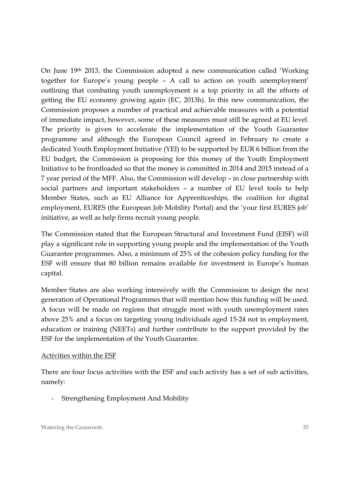On June 19th 2013, the Commission adopted a new communication called 'Working together for Europe's young people – A call to action on youth unemployment' outlining that combating youth unemployment is a top priority in all the efforts of getting the EU economy growing again (EC, 2013h). In this new communication, the Commission proposes a number of practical and achievable measures with a potential of immediate impact, however, some of these measures must still be agreed at EU level. The priority is given to accelerate the implementation of the Youth Guarantee programme and although the European Council agreed in February to create a dedicated Youth Employment Initiative (YEI) to be supported by EUR 6 billion from the EU budget, the Commission is proposing for this money of the Youth Employment Initiative to be frontloaded so that the money is committed in 2014 and 2015 instead of a 7 year period of the MFF. Also, the Commission will develop – in close partnership with social partners and important stakeholders – a number of EU level tools to help Member States, such as EU Alliance for Apprenticeships, the coalition for digital employment, EURES (the European Job Mobility Portal) and the 'your first EURES job' initiative, as well as help firms recruit young people.

The Commission stated that the European Structural and Investment Fund (EISF) will play a significant role in supporting young people and the implementation of the Youth Guarantee programmes. Also, a minimum of 25% of the cohesion policy funding for the ESF will ensure that 80 billion remains available for investment in Europe's human capital.

Member States are also working intensively with the Commission to design the next generation of Operational Programmes that will mention how this funding will be used. A focus will be made on regions that struggle most with youth unemployment rates above 25% and a focus on targeting young individuals aged 15-24 not in employment, education or training (NEETs) and further contribute to the support provided by the ESF for the implementation of the Youth Guarantee.

#### Activities within the ESF

There are four focus activities with the ESF and each activity has a set of sub activities, namely:

- Strengthening Employment And Mobility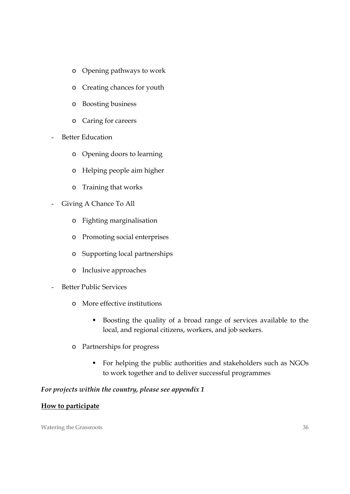- o Opening pathways to work
- o Creating chances for youth
- o Boosting business
- o Caring for careers
- Better Education
	- o Opening doors to learning
	- o Helping people aim higher
	- o Training that works
- Giving A Chance To All
	- o Fighting marginalisation
	- o Promoting social enterprises
	- o Supporting local partnerships
	- o Inclusive approaches
- Better Public Services
	- o More effective institutions
		- Boosting the quality of a broad range of services available to the local, and regional citizens, workers, and job seekers.
	- o Partnerships for progress
		- For helping the public authorities and stakeholders such as NGOs to work together and to deliver successful programmes

#### *For projects within the country, please see appendix 1*

#### **How to participate**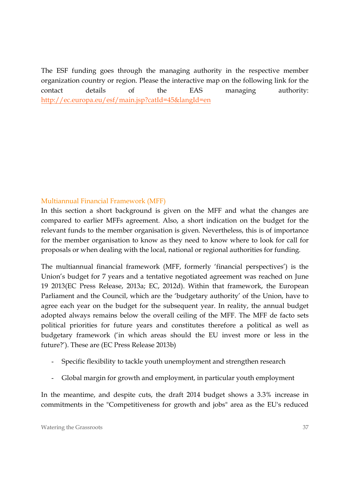The ESF funding goes through the managing authority in the respective member organization country or region. Please the interactive map on the following link for the contact details of the EAS managing authority: http://ec.europa.eu/esf/main.jsp?catId=45&langId=en

## Multiannual Financial Framework (MFF)

In this section a short background is given on the MFF and what the changes are compared to earlier MFFs agreement. Also, a short indication on the budget for the relevant funds to the member organisation is given. Nevertheless, this is of importance for the member organisation to know as they need to know where to look for call for proposals or when dealing with the local, national or regional authorities for funding.

The multiannual financial framework (MFF, formerly 'financial perspectives') is the Union's budget for 7 years and a tentative negotiated agreement was reached on June 19 2013(EC Press Release, 2013a; EC, 2012d). Within that framework, the European Parliament and the Council, which are the 'budgetary authority' of the Union, have to agree each year on the budget for the subsequent year. In reality, the annual budget adopted always remains below the overall ceiling of the MFF. The MFF de facto sets political priorities for future years and constitutes therefore a political as well as budgetary framework ('in which areas should the EU invest more or less in the future?'). These are (EC Press Release 2013b)

- Specific flexibility to tackle youth unemployment and strengthen research
- Global margin for growth and employment, in particular youth employment

In the meantime, and despite cuts, the draft 2014 budget shows a 3.3% increase in commitments in the "Competitiveness for growth and jobs" area as the EU's reduced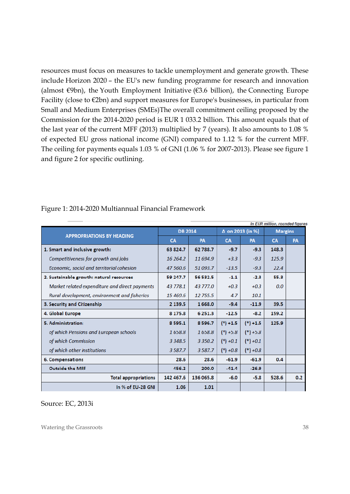resources must focus on measures to tackle unemployment and generate growth. These include Horizon 2020 – the EU's new funding programme for research and innovation (almost  $\in$ 9bn), the Youth Employment Initiative ( $\in$ 3.6 billion), the Connecting Europe Facility (close to €2bn) and support measures for Europe's businesses, in particular from Small and Medium Enterprises (SMEs)The overall commitment ceiling proposed by the Commission for the 2014-2020 period is EUR 1 033.2 billion. This amount equals that of the last year of the current MFF (2013) multiplied by 7 (years). It also amounts to 1.08 % of expected EU gross national income (GNI) compared to 1.12 % for the current MFF. The ceiling for payments equals 1.03 % of GNI (1.06 % for 2007-2013). Please see figure 1 and figure 2 for specific outlining.

| In EUR million, rounded figures                |                |             |                  |             |                |           |
|------------------------------------------------|----------------|-------------|------------------|-------------|----------------|-----------|
| <b>APPROPRIATIONS BY HEADING</b>               | <b>DB 2014</b> |             | ∆ on 2013 (in %) |             | <b>Margins</b> |           |
|                                                | <b>CA</b>      | <b>PA</b>   | <b>CA</b>        | <b>PA</b>   | <b>CA</b>      | <b>PA</b> |
| 1. Smart and inclusive growth:                 | 63 824.7       | 62 788.7    | $-9.7$           | $-9.3$      | 148.3          |           |
| Competitiveness for growth and jobs            | 16 264.2       | 11 694.9    | $+3.3$           | $-9.3$      | 125.9          |           |
| Economic, social and territorial cohesion      | 47 560.6       | 51 093.7    | $-13.5$          | $-9.3$      | 22.4           |           |
| 2. Sustainable growth: natural resources       | 59 247.7       | 56 532.5    | $-1.1$           | $-2.3$      | 55.3           |           |
| Market related expenditure and direct payments | 43 778.1       | 43 777.0    | $+0.3$           | $+0.3$      | 0.0            |           |
| Rural development, environment and fisheries   | 15 469.6       | 12 755.5    | 4.7              | 10.1        |                |           |
| 3. Security and Citizenship                    | 2 139.5        | 1668.0      | $-9.4$           | $-11.9$     | 39.5           |           |
| 4. Global Europe                               | 8 1 7 5 . 8    | 6 2 5 1 . 3 | $-12.5$          | $-8.2$      | 159.2          |           |
| 5. Administration:                             | 8595.1         | 8596.7      | $(*) + 1.5$      | $(*) + 1.5$ | 125.9          |           |
| of which Pensions and European schools         | 1658.8         | 1658.8      | $(*) +5.8$       | $(*) + 5.8$ |                |           |
| of which Commission                            | 3 3 4 8 5      | 3 3 5 0.2   | $(*) +0.1$       | $(*) +0.1$  |                |           |
| of which other institutions                    | 3587.7         | 3 5 8 7 . 7 | $(*) +0.8$       | $(*) +0.8$  |                |           |
| 6. Compensations                               | 28.6           | 28.6        | $-61.9$          | $-61.9$     | 0.4            |           |
| <b>Outside the MFF</b>                         | 456.2          | 200.0       | $-41.4$          | $-26.9$     |                |           |
| <b>Total appropriations</b>                    | 142 467.6      | 136 065.8   | $-6.0$           | $-5.8$      | 528.6          | 0.2       |
| In % of EU-28 GNI                              | 1.06           | 1.01        |                  |             |                |           |

#### Figure 1: 2014-2020 Multiannual Financial Framework

Source: EC, 2013i

Watering the Grassroots 38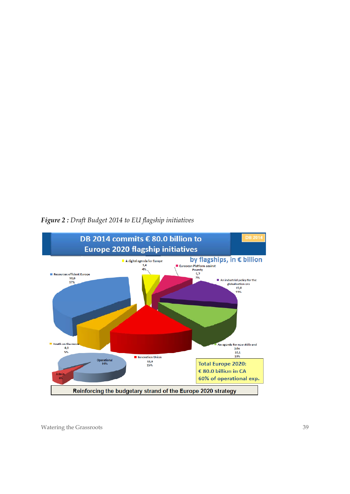

*Figure 2 : Draft Budget 2014 to EU flagship initiatives*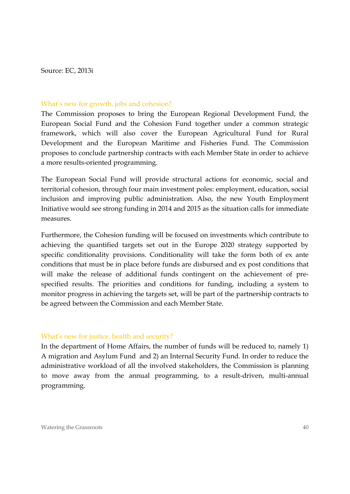Source: EC, 2013i

#### What's new for growth, jobs and cohesion?

The Commission proposes to bring the European Regional Development Fund, the European Social Fund and the Cohesion Fund together under a common strategic framework, which will also cover the European Agricultural Fund for Rural Development and the European Maritime and Fisheries Fund. The Commission proposes to conclude partnership contracts with each Member State in order to achieve a more results-oriented programming.

The European Social Fund will provide structural actions for economic, social and territorial cohesion, through four main investment poles: employment, education, social inclusion and improving public administration. Also, the new Youth Employment Initiative would see strong funding in 2014 and 2015 as the situation calls for immediate measures.

Furthermore, the Cohesion funding will be focused on investments which contribute to achieving the quantified targets set out in the Europe 2020 strategy supported by specific conditionality provisions. Conditionality will take the form both of ex ante conditions that must be in place before funds are disbursed and ex post conditions that will make the release of additional funds contingent on the achievement of prespecified results. The priorities and conditions for funding, including a system to monitor progress in achieving the targets set, will be part of the partnership contracts to be agreed between the Commission and each Member State.

#### What's new for justice, health and security?

In the department of Home Affairs, the number of funds will be reduced to, namely 1) A migration and Asylum Fund and 2) an Internal Security Fund. In order to reduce the administrative workload of all the involved stakeholders, the Commission is planning to move away from the annual programming, to a result-driven, multi-annual programming.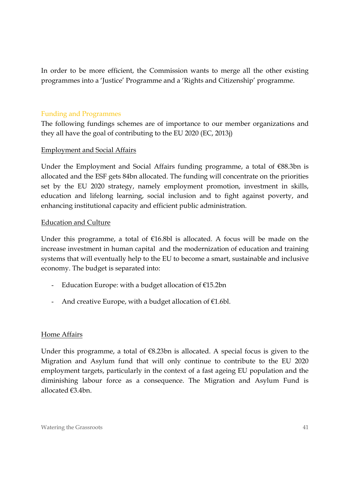In order to be more efficient, the Commission wants to merge all the other existing programmes into a 'Justice' Programme and a 'Rights and Citizenship' programme.

#### Funding and Programmes

The following fundings schemes are of importance to our member organizations and they all have the goal of contributing to the EU 2020 (EC, 2013j)

#### Employment and Social Affairs

Under the Employment and Social Affairs funding programme, a total of €88.3bn is allocated and the ESF gets 84bn allocated. The funding will concentrate on the priorities set by the EU 2020 strategy, namely employment promotion, investment in skills, education and lifelong learning, social inclusion and to fight against poverty, and enhancing institutional capacity and efficient public administration.

#### Education and Culture

Under this programme, a total of  $E16.8bl$  is allocated. A focus will be made on the increase investment in human capital and the modernization of education and training systems that will eventually help to the EU to become a smart, sustainable and inclusive economy. The budget is separated into:

- Education Europe: with a budget allocation of €15.2bn
- And creative Europe, with a budget allocation of  $E1.6bl$ .

#### Home Affairs

Under this programme, a total of  $\epsilon$ 8.23bn is allocated. A special focus is given to the Migration and Asylum fund that will only continue to contribute to the EU 2020 employment targets, particularly in the context of a fast ageing EU population and the diminishing labour force as a consequence. The Migration and Asylum Fund is allocated €3.4bn.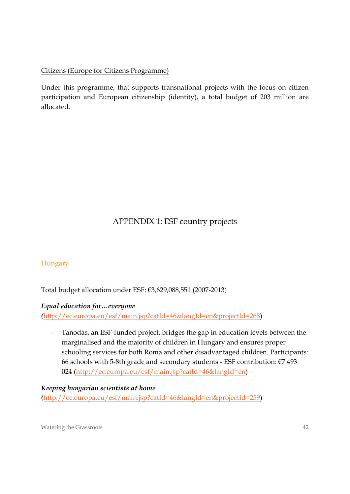## Citizens (Europe for Citizens Programme)

Under this programme, that supports transnational projects with the focus on citizen participation and European citizenship (identity), a total budget of 203 million are allocated.

## APPENDIX 1: ESF country projects

## **Hungary**

Total budget allocation under ESF: €3,629,088,551 (2007-2013)

#### *Equal education for…everyone*

*(*http://ec.europa.eu/esf/main.jsp?catId=46&langId=en&projectId=268)

- Tanodas, an ESF-funded project, bridges the gap in education levels between the marginalised and the majority of children in Hungary and ensures proper schooling services for both Roma and other disadvantaged children. Participants: 66 schools with 5-8th grade and secondary students - ESF contribution:  $E7$  493 024 (http://ec.europa.eu/esf/main.jsp?catId=46&langId=en)

#### *Keeping hungarian scientists at home*

*(*http://ec.europa.eu/esf/main.jsp?catId=46&langId=en&projectId=259)

Watering the Grassroots 42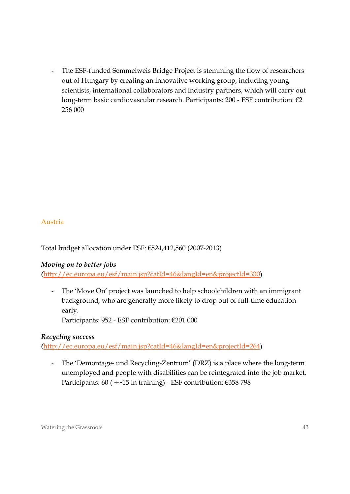The ESF-funded Semmelweis Bridge Project is stemming the flow of researchers out of Hungary by creating an innovative working group, including young scientists, international collaborators and industry partners, which will carry out long-term basic cardiovascular research. Participants: 200 - ESF contribution: €2 256 000

## Austria

Total budget allocation under ESF: €524,412,560 (2007-2013)

## *Moving on to better jobs*

*(*http://ec.europa.eu/esf/main.jsp?catId=46&langId=en&projectId=330)

- The 'Move On' project was launched to help schoolchildren with an immigrant background, who are generally more likely to drop out of full-time education early.

Participants: 952 - ESF contribution: €201 000

#### *Recycling success*

*(*http://ec.europa.eu/esf/main.jsp?catId=46&langId=en&projectId=264)

- The 'Demontage- und Recycling-Zentrum' (DRZ) is a place where the long-term unemployed and people with disabilities can be reintegrated into the job market. Participants: 60 (  $+-15$  in training) - ESF contribution: €358 798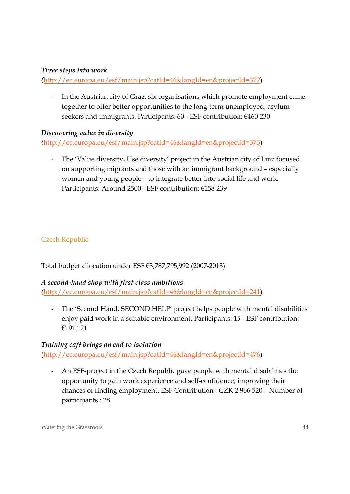## *Three steps into work*

*(*http://ec.europa.eu/esf/main.jsp?catId=46&langId=en&projectId=372)

- In the Austrian city of Graz, six organisations which promote employment came together to offer better opportunities to the long-term unemployed, asylumseekers and immigrants. Participants: 60 - ESF contribution: €460 230

#### *Discovering value in diversity*

*(*http://ec.europa.eu/esf/main.jsp?catId=46&langId=en&projectId=373)

- The 'Value diversity, Use diversity' project in the Austrian city of Linz focused on supporting migrants and those with an immigrant background – especially women and young people – to integrate better into social life and work. Participants: Around 2500 - ESF contribution: €258 239

## Czech Republic

Total budget allocation under ESF €3,787,795,992 (2007-2013)

#### *A second-hand shop with first class ambitions*

*(*http://ec.europa.eu/esf/main.jsp?catId=46&langId=en&projectId=241)

The 'Second Hand, SECOND HELP' project helps people with mental disabilities enjoy paid work in a suitable environment. Participants: 15 - ESF contribution: €191.121

#### *Training café brings an end to isolation*

(http://ec.europa.eu/esf/main.jsp?catId=46&langId=en&projectId=476)

- An ESF-project in the Czech Republic gave people with mental disabilities the opportunity to gain work experience and self-confidence, improving their chances of finding employment. ESF Contribution : CZK 2 966 520 – Number of participants : 28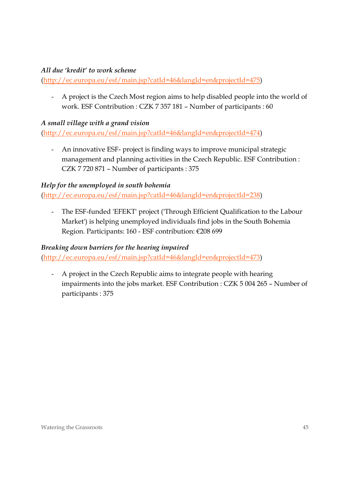## *All due 'kredit' to work scheme*

(http://ec.europa.eu/esf/main.jsp?catId=46&langId=en&projectId=475)

- A project is the Czech Most region aims to help disabled people into the world of work. ESF Contribution : CZK 7 357 181 – Number of participants : 60

#### *A small village with a grand vision*

(http://ec.europa.eu/esf/main.jsp?catId=46&langId=en&projectId=474)

- An innovative ESF- project is finding ways to improve municipal strategic management and planning activities in the Czech Republic. ESF Contribution : CZK 7 720 871 – Number of participants : 375

#### *Help for the unemployed in south bohemia*

(http://ec.europa.eu/esf/main.jsp?catId=46&langId=en&projectId=238)

- The ESF-funded 'EFEKT' project ('Through Efficient Qualification to the Labour Market') is helping unemployed individuals find jobs in the South Bohemia Region. Participants: 160 - ESF contribution: €208 699

#### *Breaking down barriers for the hearing impaired*

(http://ec.europa.eu/esf/main.jsp?catId=46&langId=en&projectId=473)

- A project in the Czech Republic aims to integrate people with hearing impairments into the jobs market. ESF Contribution : CZK 5 004 265 – Number of participants : 375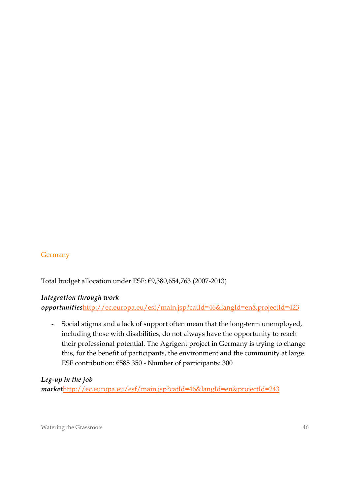#### **Germany**

Total budget allocation under ESF: €9,380,654,763 (2007-2013)

#### *Integration through work*

*opportunities*http://ec.europa.eu/esf/main.jsp?catId=46&langId=en&projectId=423

- Social stigma and a lack of support often mean that the long-term unemployed, including those with disabilities, do not always have the opportunity to reach their professional potential. The Agrigent project in Germany is trying to change this, for the benefit of participants, the environment and the community at large. ESF contribution: €585 350 - Number of participants: 300

#### *Leg-up in the job*

*market*http://ec.europa.eu/esf/main.jsp?catId=46&langId=en&projectId=243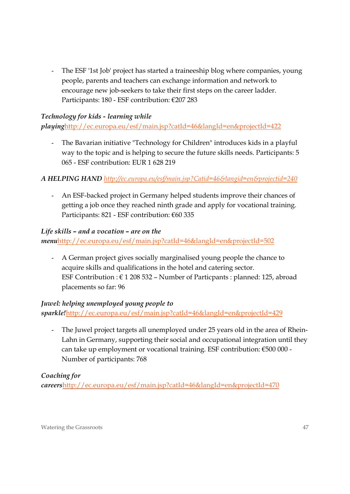The ESF '1st Job' project has started a traineeship blog where companies, young people, parents and teachers can exchange information and network to encourage new job-seekers to take their first steps on the career ladder. Participants: 180 - ESF contribution: €207 283

## *Technology for kids - learning while*

*playing*http://ec.europa.eu/esf/main.jsp?catId=46&langId=en&projectId=422

- The Bavarian initiative "Technology for Children" introduces kids in a playful way to the topic and is helping to secure the future skills needs. Participants: 5 065 - ESF contribution: EUR 1 628 219

## *A HELPING HAND http://ec.europa.eu/esf/main.jsp?Catid=46&langid=en&projectid=240*

- An ESF-backed project in Germany helped students improve their chances of getting a job once they reached ninth grade and apply for vocational training. Participants: 821 - ESF contribution: €60 335

## *Life skills – and a vocation – are on the*

*menu*http://ec.europa.eu/esf/main.jsp?catId=46&langId=en&projectId=502

- A German project gives socially marginalised young people the chance to acquire skills and qualifications in the hotel and catering sector. ESF Contribution :  $\epsilon$  1 208 532 – Number of Particpants : planned: 125, abroad placements so far: 96

## *Juwel: helping unemployed young people to*

*sparkle!*http://ec.europa.eu/esf/main.jsp?catId=46&langId=en&projectId=429

- The Juwel project targets all unemployed under 25 years old in the area of Rhein-Lahn in Germany, supporting their social and occupational integration until they can take up employment or vocational training. ESF contribution: €500 000 - Number of participants: 768

## *Coaching for*

*careers*http://ec.europa.eu/esf/main.jsp?catId=46&langId=en&projectId=470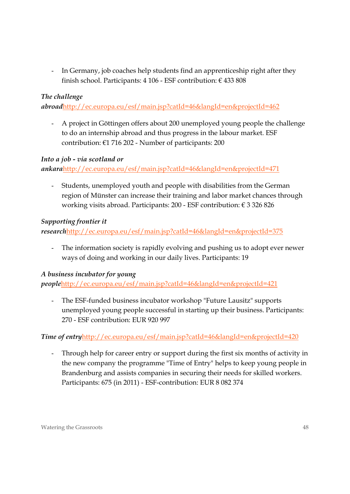- In Germany, job coaches help students find an apprenticeship right after they finish school. Participants: 4 106 - ESF contribution: € 433 808

## *The challenge*

*abroad*http://ec.europa.eu/esf/main.jsp?catId=46&langId=en&projectId=462

- A project in Göttingen offers about 200 unemployed young people the challenge to do an internship abroad and thus progress in the labour market. ESF contribution: €1 716 202 - Number of participants: 200

#### *Into a job - via scotland or*

*ankara*http://ec.europa.eu/esf/main.jsp?catId=46&langId=en&projectId=471

- Students, unemployed youth and people with disabilities from the German region of Münster can increase their training and labor market chances through working visits abroad. Participants: 200 - ESF contribution: € 3 326 826

## *Supporting frontier it*

*research*http://ec.europa.eu/esf/main.jsp?catId=46&langId=en&projectId=375

The information society is rapidly evolving and pushing us to adopt ever newer ways of doing and working in our daily lives. Participants: 19

## *A business incubator for young*

*people*http://ec.europa.eu/esf/main.jsp?catId=46&langId=en&projectId=421

- The ESF-funded business incubator workshop "Future Lausitz" supports unemployed young people successful in starting up their business. Participants: 270 - ESF contribution: EUR 920 997

## *Time of entryhttp://ec.europa.eu/esf/main.jsp?catId=46&langId=en&projectId=420*

Through help for career entry or support during the first six months of activity in the new company the programme "Time of Entry" helps to keep young people in Brandenburg and assists companies in securing their needs for skilled workers. Participants: 675 (in 2011) - ESF-contribution: EUR 8 082 374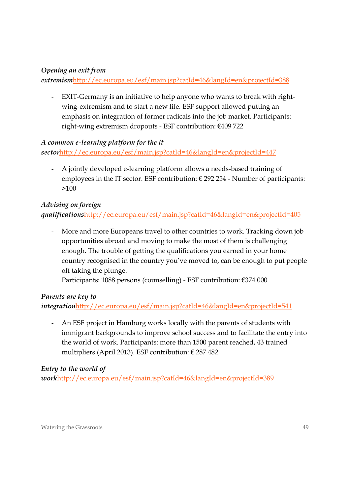## *Opening an exit from*

*extremism*http://ec.europa.eu/esf/main.jsp?catId=46&langId=en&projectId=388

- EXIT-Germany is an initiative to help anyone who wants to break with rightwing-extremism and to start a new life. ESF support allowed putting an emphasis on integration of former radicals into the job market. Participants: right-wing extremism dropouts - ESF contribution: €409 722

## *A common e-learning platform for the it*

*sector*http://ec.europa.eu/esf/main.jsp?catId=46&langId=en&projectId=447

- A jointly developed e-learning platform allows a needs-based training of employees in the IT sector. ESF contribution:  $\epsilon$  292 254 - Number of participants: >100

## *Advising on foreign*

*qualifications*http://ec.europa.eu/esf/main.jsp?catId=46&langId=en&projectId=405

More and more Europeans travel to other countries to work. Tracking down job opportunities abroad and moving to make the most of them is challenging enough. The trouble of getting the qualifications you earned in your home country recognised in the country you've moved to, can be enough to put people off taking the plunge.

Participants: 1088 persons (counselling) - ESF contribution: €374 000

## *Parents are key to*

*integration*http://ec.europa.eu/esf/main.jsp?catId=46&langId=en&projectId=541

- An ESF project in Hamburg works locally with the parents of students with immigrant backgrounds to improve school success and to facilitate the entry into the world of work. Participants: more than 1500 parent reached, 43 trained multipliers (April 2013). ESF contribution:  $\in$  287 482

## *Entry to the world of*

*work*http://ec.europa.eu/esf/main.jsp?catId=46&langId=en&projectId=389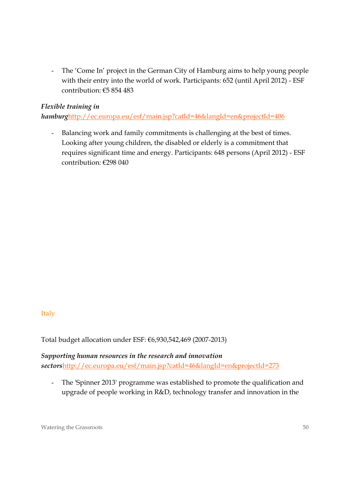The 'Come In' project in the German City of Hamburg aims to help young people with their entry into the world of work. Participants: 652 (until April 2012) - ESF contribution: €5 854 483

## *Flexible training in*

*hamburg*http://ec.europa.eu/esf/main.jsp?catId=46&langId=en&projectId=406

- Balancing work and family commitments is challenging at the best of times. Looking after young children, the disabled or elderly is a commitment that requires significant time and energy. Participants: 648 persons (April 2012) - ESF contribution: €298 040

## Italy

Total budget allocation under ESF: €6,930,542,469 (2007-2013)

*Supporting human resources in the research and innovation sectors*http://ec.europa.eu/esf/main.jsp?catId=46&langId=en&projectId=273

- The 'Spinner 2013' programme was established to promote the qualification and upgrade of people working in R&D, technology transfer and innovation in the

Watering the Grassroots 50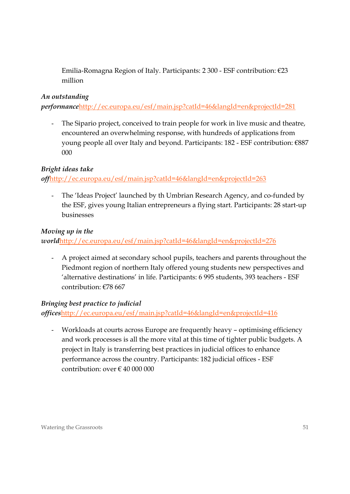Emilia-Romagna Region of Italy. Participants: 2 300 - ESF contribution: €23 million

## *An outstanding*

*performance*http://ec.europa.eu/esf/main.jsp?catId=46&langId=en&projectId=281

The Sipario project, conceived to train people for work in live music and theatre, encountered an overwhelming response, with hundreds of applications from young people all over Italy and beyond. Participants: 182 - ESF contribution: €887 000

## *Bright ideas take*

## *off*http://ec.europa.eu/esf/main.jsp?catId=46&langId=en&projectId=263

The 'Ideas Project' launched by th Umbrian Research Agency, and co-funded by the ESF, gives young Italian entrepreneurs a flying start. Participants: 28 start-up businesses

## *Moving up in the*

*world*http://ec.europa.eu/esf/main.jsp?catId=46&langId=en&projectId=276

- A project aimed at secondary school pupils, teachers and parents throughout the Piedmont region of northern Italy offered young students new perspectives and 'alternative destinations' in life. Participants: 6 995 students, 393 teachers - ESF contribution: €78 667

## *Bringing best practice to judicial*

*offices*http://ec.europa.eu/esf/main.jsp?catId=46&langId=en&projectId=416

- Workloads at courts across Europe are frequently heavy – optimising efficiency and work processes is all the more vital at this time of tighter public budgets. A project in Italy is transferring best practices in judicial offices to enhance performance across the country. Participants: 182 judicial offices - ESF contribution: over  $\epsilon$  40 000 000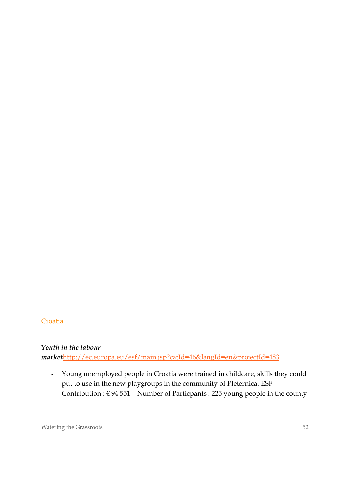#### **Croatia**

#### *Youth in the labour*

*market*http://ec.europa.eu/esf/main.jsp?catId=46&langId=en&projectId=483

- Young unemployed people in Croatia were trained in childcare, skills they could put to use in the new playgroups in the community of Pleternica. ESF Contribution :  $\epsilon$  94 551 - Number of Particpants : 225 young people in the county

Watering the Grassroots 52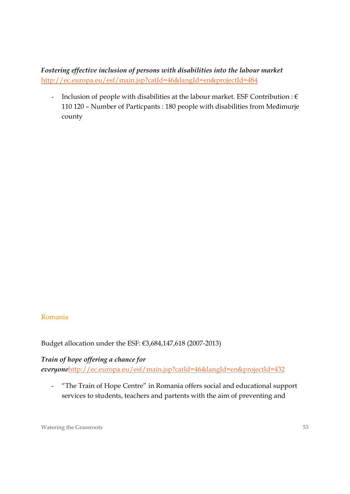*Fostering effective inclusion of persons with disabilities into the labour market*  http://ec.europa.eu/esf/main.jsp?catId=46&langId=en&projectId=484

- Inclusion of people with disabilities at the labour market. ESF Contribution :  $\epsilon$ 110 120 – Number of Particpants : 180 people with disabilities from Međimurje county

#### Romania

Budget allocation under the ESF: €3,684,147,618 (2007-2013)

#### *Train of hope offering a chance for*

*everyone*http://ec.europa.eu/esf/main.jsp?catId=46&langId=en&projectId=432

- "The Train of Hope Centre" in Romania offers social and educational support services to students, teachers and partents with the aim of preventing and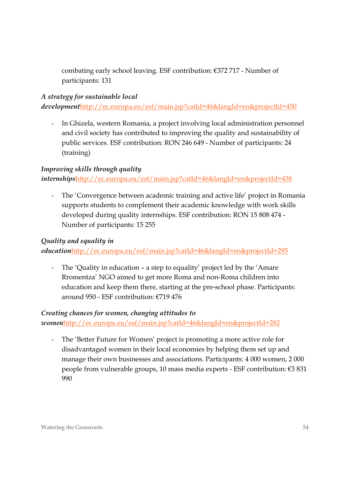combating early school leaving. ESF contribution: €372 717 - Number of participants: 131

## *A strategy for sustainable local*

*development*http://ec.europa.eu/esf/main.jsp?catId=46&langId=en&projectId=450

In Ghizela, western Romania, a project involving local administration personnel and civil society has contributed to improving the quality and sustainability of public services. ESF contribution: RON 246 649 - Number of participants: 24 (training)

## *Improving skills through quality*

*internships*http://ec.europa.eu/esf/main.jsp?catId=46&langId=en&projectId=438

The 'Convergence between academic training and active life' project in Romania supports students to complement their academic knowledge with work skills developed during quality internships. ESF contribution: RON 15 808 474 - Number of participants: 15 255

## *Quality and equality in*

*education*http://ec.europa.eu/esf/main.jsp?catId=46&langId=en&projectId=295

The 'Quality in education – a step to equality' project led by the 'Amare' Rromentza' NGO aimed to get more Roma and non-Roma children into education and keep them there, starting at the pre-school phase. Participants: around 950 - ESF contribution: €719 476

#### *Creating chances for women, changing attitudes to*

*women*http://ec.europa.eu/esf/main.jsp?catId=46&langId=en&projectId=282

The 'Better Future for Women' project is promoting a more active role for disadvantaged women in their local economies by helping them set up and manage their own businesses and associations. Participants: 4 000 women, 2 000 people from vulnerable groups, 10 mass media experts - ESF contribution: €3 831 990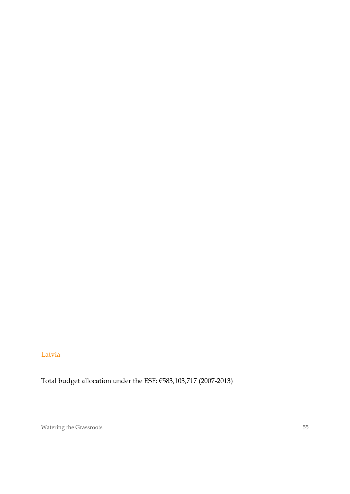## Latvia

Total budget allocation under the ESF: €583,103,717 (2007-2013)

Watering the Grassroots 55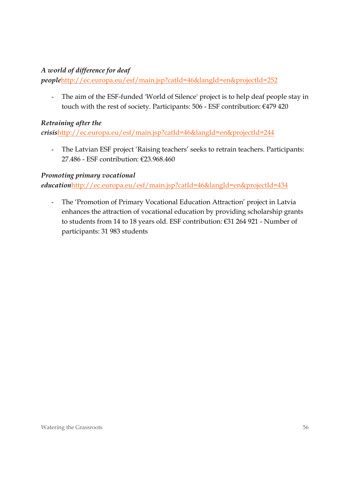## *A world of difference for deaf*

*people*http://ec.europa.eu/esf/main.jsp?catId=46&langId=en&projectId=252

- The aim of the ESF-funded 'World of Silence' project is to help deaf people stay in touch with the rest of society. Participants: 506 - ESF contribution: €479 420

## *Retraining after the*

*crisis*http://ec.europa.eu/esf/main.jsp?catId=46&langId=en&projectId=244

- The Latvian ESF project 'Raising teachers' seeks to retrain teachers. Participants: 27.486 - ESF contribution: €23.968.460

## *Promoting primary vocational*

*education*http://ec.europa.eu/esf/main.jsp?catId=46&langId=en&projectId=434

- The 'Promotion of Primary Vocational Education Attraction' project in Latvia enhances the attraction of vocational education by providing scholarship grants to students from 14 to 18 years old. ESF contribution: €31 264 921 - Number of participants: 31 983 students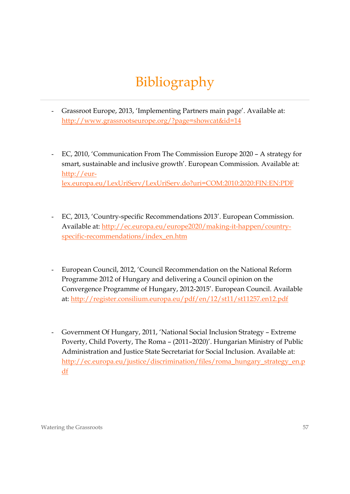# Bibliography

- Grassroot Europe, 2013, 'Implementing Partners main page'. Available at: http://www.grassrootseurope.org/?page=showcat&id=14
- EC, 2010, 'Communication From The Commission Europe 2020 A strategy for smart, sustainable and inclusive growth'. European Commission. Available at: http://eurlex.europa.eu/LexUriServ/LexUriServ.do?uri=COM:2010:2020:FIN:EN:PDF
- EC, 2013, 'Country-specific Recommendations 2013'. European Commission. Available at: http://ec.europa.eu/europe2020/making-it-happen/countryspecific-recommendations/index\_en.htm
- European Council, 2012, 'Council Recommendation on the National Reform Programme 2012 of Hungary and delivering a Council opinion on the Convergence Programme of Hungary, 2012-2015'. European Council. Available at: http://register.consilium.europa.eu/pdf/en/12/st11/st11257.en12.pdf
- Government Of Hungary, 2011, 'National Social Inclusion Strategy Extreme Poverty, Child Poverty, The Roma – (2011–2020)'. Hungarian Ministry of Public Administration and Justice State Secretariat for Social Inclusion. Available at: http://ec.europa.eu/justice/discrimination/files/roma\_hungary\_strategy\_en.p df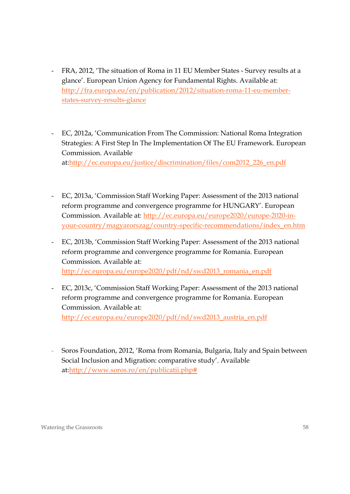- FRA, 2012, 'The situation of Roma in 11 EU Member States Survey results at a glance'. European Union Agency for Fundamental Rights. Available at: http://fra.europa.eu/en/publication/2012/situation-roma-11-eu-memberstates-survey-results-glance
- EC, 2012a, 'Communication From The Commission: National Roma Integration Strategies: A First Step In The Implementation Of The EU Framework. European Commission. Available at:http://ec.europa.eu/justice/discrimination/files/com2012\_226\_en.pdf
- EC, 2013a, 'Commission Staff Working Paper: Assessment of the 2013 national reform programme and convergence programme for HUNGARY'. European Commission. Available at: http://ec.europa.eu/europe2020/europe-2020-inyour-country/magyarorszag/country-specific-recommendations/index\_en.htm
- EC, 2013b, 'Commission Staff Working Paper: Assessment of the 2013 national reform programme and convergence programme for Romania. European Commission. Available at: http://ec.europa.eu/europe2020/pdf/nd/swd2013\_romania\_en.pdf
- EC, 2013c, 'Commission Staff Working Paper: Assessment of the 2013 national reform programme and convergence programme for Romania. European Commission. Available at: http://ec.europa.eu/europe2020/pdf/nd/swd2013\_austria\_en.pdf
- Soros Foundation, 2012, 'Roma from Romania, Bulgaria, Italy and Spain between Social Inclusion and Migration: comparative study'. Available at:http://www.soros.ro/en/publicatii.php#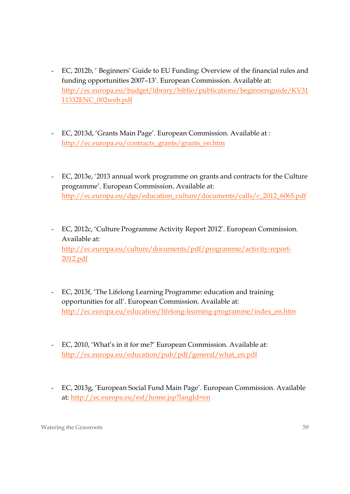- EC, 2012b, ' Beginners' Guide to EU Funding: Overview of the financial rules and funding opportunities 2007–13'. European Commission. Available at: http://ec.europa.eu/budget/library/biblio/publications/beginnersguide/KV31 11332ENC\_002web.pdf
- EC, 2013d, 'Grants Main Page'. European Commission. Available at : http://ec.europa.eu/contracts\_grants/grants\_en.htm
- EC, 2013e, '2013 annual work programme on grants and contracts for the Culture programme'. European Commission. Available at: http://ec.europa.eu/dgs/education\_culture/documents/calls/c\_2012\_6065.pdf
- EC, 2012c, 'Culture Programme Activity Report 2012'. European Commission. Available at: http://ec.europa.eu/culture/documents/pdf/programme/activity-report-2012.pdf
- EC, 2013f, 'The Lifelong Learning Programme: education and training opportunities for all'. European Commission. Available at: http://ec.europa.eu/education/lifelong-learning-programme/index\_en.htm
- EC, 2010, 'What's in it for me?' European Commission. Available at: http://ec.europa.eu/education/pub/pdf/general/what\_en.pdf
- EC, 2013g, 'European Social Fund Main Page'. European Commission. Available at: http://ec.europa.eu/esf/home.jsp?langId=en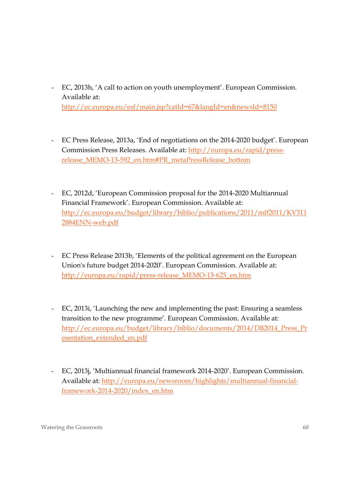- EC, 2013h, 'A call to action on youth unemployment'. European Commission. Available at: http://ec.europa.eu/esf/main.jsp?catId=67&langId=en&newsId=8150
- EC Press Release, 2013a, 'End of negotiations on the 2014-2020 budget'. European Commission Press Releases. Available at: http://europa.eu/rapid/pressrelease\_MEMO-13-592\_en.htm#PR\_metaPressRelease\_bottom
- EC, 2012d, 'European Commission proposal for the 2014-2020 Multiannual Financial Framework'. European Commission. Available at: http://ec.europa.eu/budget/library/biblio/publications/2011/mff2011/KV311 2884ENN-web.pdf
- EC Press Release 2013b, 'Elements of the political agreement on the European Union's future budget 2014-2020'. European Commission. Available at: http://europa.eu/rapid/press-release\_MEMO-13-625\_en.htm
- EC, 2013i, 'Launching the new and implementing the past: Ensuring a seamless transition to the new programme'. European Commission. Available at: http://ec.europa.eu/budget/library/biblio/documents/2014/DB2014\_Press\_Pr esentation\_extended\_en.pdf
- EC, 2013j, 'Multiannual financial framework 2014-2020'. European Commission. Available at: http://europa.eu/newsroom/highlights/multiannual-financialframework-2014-2020/index\_en.htm